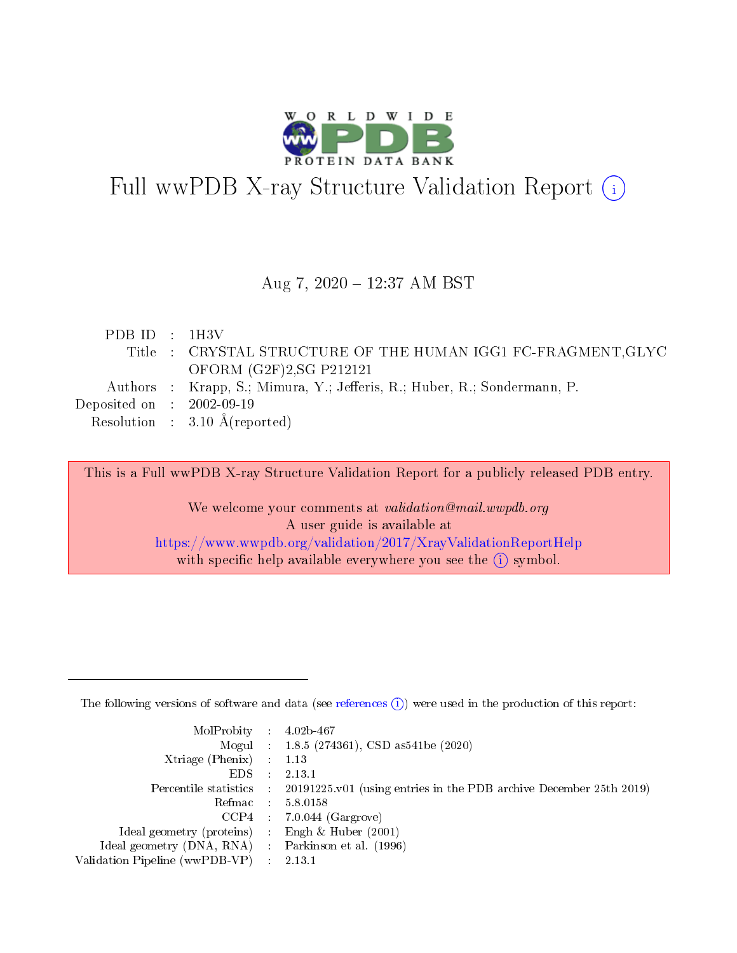

# Full wwPDB X-ray Structure Validation Report (i)

### Aug 7, 2020 - 12:37 AM BST

| PDB ID : $1H3V$                      |                                                                          |
|--------------------------------------|--------------------------------------------------------------------------|
|                                      | Title : CRYSTAL STRUCTURE OF THE HUMAN IGG1 FC-FRAGMENT, GLYC            |
|                                      | OFORM (G2F)2, SG P212121                                                 |
|                                      | Authors : Krapp, S.; Mimura, Y.; Jefferis, R.; Huber, R.; Sondermann, P. |
| Deposited on $\therefore$ 2002-09-19 |                                                                          |
|                                      | Resolution : $3.10 \text{ Å}$ (reported)                                 |

This is a Full wwPDB X-ray Structure Validation Report for a publicly released PDB entry.

We welcome your comments at validation@mail.wwpdb.org A user guide is available at <https://www.wwpdb.org/validation/2017/XrayValidationReportHelp> with specific help available everywhere you see the  $(i)$  symbol.

The following versions of software and data (see [references](https://www.wwpdb.org/validation/2017/XrayValidationReportHelp#references)  $(1)$ ) were used in the production of this report:

| $MolProbability$ : 4.02b-467                      |                             |                                                                                            |
|---------------------------------------------------|-----------------------------|--------------------------------------------------------------------------------------------|
|                                                   |                             | Mogul : $1.8.5$ (274361), CSD as 541be (2020)                                              |
| Xtriage (Phenix) $: 1.13$                         |                             |                                                                                            |
| EDS.                                              | $\mathcal{L}$               | 2.13.1                                                                                     |
|                                                   |                             | Percentile statistics : 20191225.v01 (using entries in the PDB archive December 25th 2019) |
| Refmac : 5.8.0158                                 |                             |                                                                                            |
|                                                   |                             | $CCP4$ 7.0.044 (Gargrove)                                                                  |
| Ideal geometry (proteins)                         | $\mathcal{L}_{\mathcal{L}}$ | Engh $\&$ Huber (2001)                                                                     |
| Ideal geometry (DNA, RNA) Parkinson et al. (1996) |                             |                                                                                            |
| Validation Pipeline (wwPDB-VP) : 2.13.1           |                             |                                                                                            |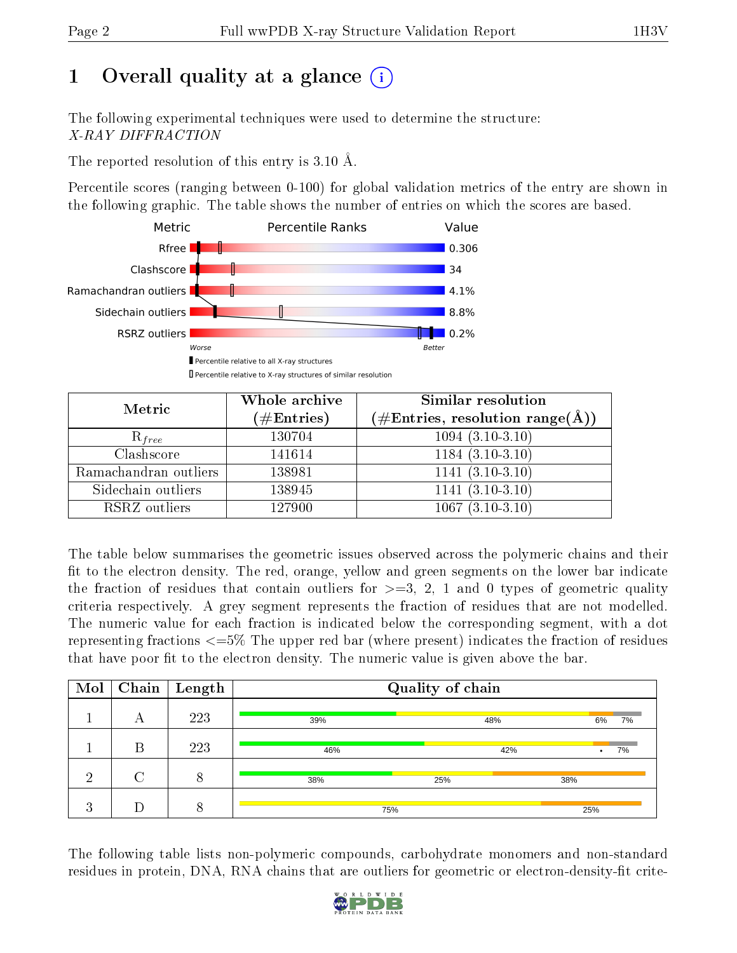# 1 [O](https://www.wwpdb.org/validation/2017/XrayValidationReportHelp#overall_quality)verall quality at a glance  $(i)$

The following experimental techniques were used to determine the structure: X-RAY DIFFRACTION

The reported resolution of this entry is 3.10 Å.

Percentile scores (ranging between 0-100) for global validation metrics of the entry are shown in the following graphic. The table shows the number of entries on which the scores are based.



| Metric                | Whole archive<br>$(\#\mathrm{Entries})$ | Similar resolution<br>$(\#\text{Entries},\, \text{resolution}\; \text{range}(\textup{\AA}))$ |
|-----------------------|-----------------------------------------|----------------------------------------------------------------------------------------------|
| $R_{free}$            | 130704                                  | $1094(3.10-3.10)$                                                                            |
| Clashscore            | 141614                                  | $1184(3.10-3.10)$                                                                            |
| Ramachandran outliers | 138981                                  | $1141 (3.10-3.10)$                                                                           |
| Sidechain outliers    | 138945                                  | $1141 (3.10-3.10)$                                                                           |
| RSRZ outliers         | 127900                                  | $1067(3.10-3.10)$                                                                            |

The table below summarises the geometric issues observed across the polymeric chains and their fit to the electron density. The red, orange, yellow and green segments on the lower bar indicate the fraction of residues that contain outliers for  $>=3, 2, 1$  and 0 types of geometric quality criteria respectively. A grey segment represents the fraction of residues that are not modelled. The numeric value for each fraction is indicated below the corresponding segment, with a dot representing fractions <=5% The upper red bar (where present) indicates the fraction of residues that have poor fit to the electron density. The numeric value is given above the bar.

| Mol              |        | $\boxed{\text{Chain}}$ Length | Quality of chain |     |          |  |
|------------------|--------|-------------------------------|------------------|-----|----------|--|
|                  | А      | 223                           | 39%              | 48% | 6%<br>7% |  |
|                  | В      | 223                           | 46%              | 42% | 7%       |  |
| ച                | $\cap$ | 8                             | 38%              | 25% | 38%      |  |
| റ<br>$\bullet$ . |        | 8                             | 75%              |     | 25%      |  |

The following table lists non-polymeric compounds, carbohydrate monomers and non-standard residues in protein, DNA, RNA chains that are outliers for geometric or electron-density-fit crite-

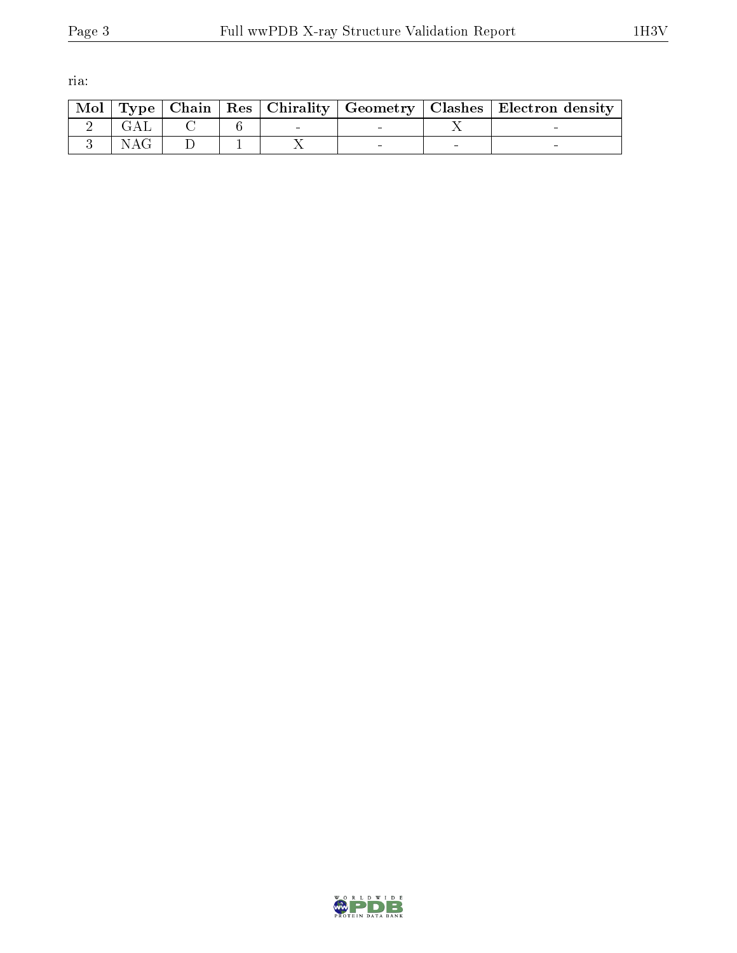ria:

|            |  |  | Mol   Type   Chain   Res   Chirality   Geometry   Clashes   Electron density |
|------------|--|--|------------------------------------------------------------------------------|
|            |  |  |                                                                              |
| <b>NAG</b> |  |  |                                                                              |

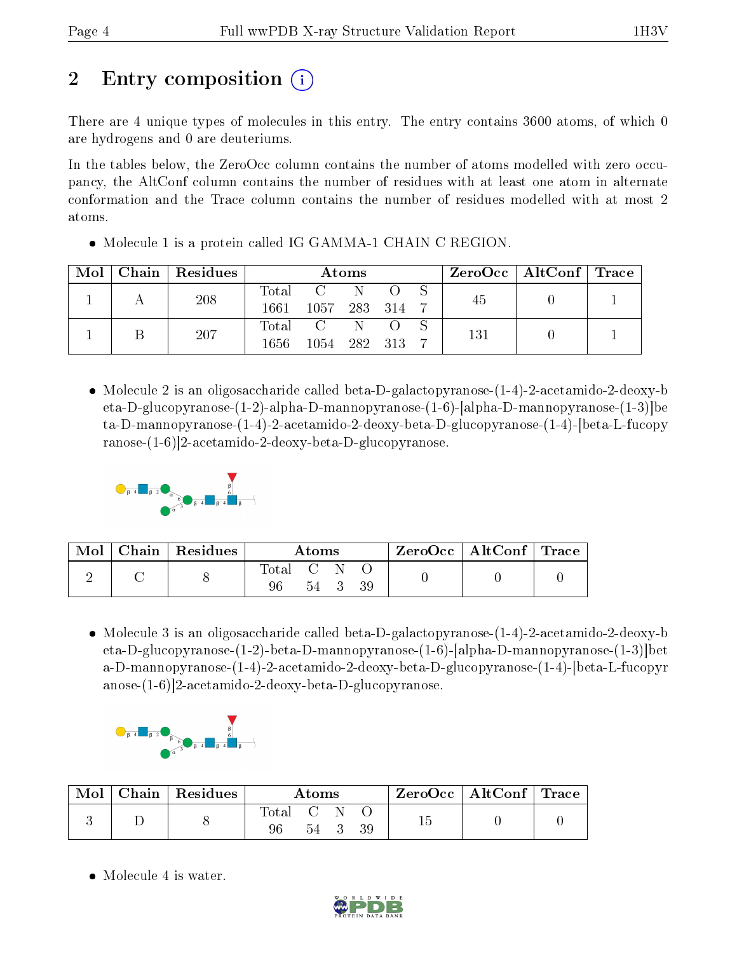# 2 Entry composition  $\left( \cdot \right)$

There are 4 unique types of molecules in this entry. The entry contains 3600 atoms, of which 0 are hydrogens and 0 are deuteriums.

In the tables below, the ZeroOcc column contains the number of atoms modelled with zero occupancy, the AltConf column contains the number of residues with at least one atom in alternate conformation and the Trace column contains the number of residues modelled with at most 2 atoms.

| Mol | Chain   Residues | Atoms |                |              |  |  | $\text{ZeroOcc} \mid \text{AltConf} \mid \text{Trace}$ |  |  |
|-----|------------------|-------|----------------|--------------|--|--|--------------------------------------------------------|--|--|
|     | 208              | Total |                | $\mathbb{N}$ |  |  |                                                        |  |  |
|     |                  | 1661  | 1057 283 314   |              |  |  | 45                                                     |  |  |
|     | 207              | Total | $\overline{C}$ | - N          |  |  | 131                                                    |  |  |
|     |                  | 1656. | 1054           | 282 313      |  |  |                                                        |  |  |

• Molecule 1 is a protein called IG GAMMA-1 CHAIN C REGION.

 Molecule 2 is an oligosaccharide called beta-D-galactopyranose-(1-4)-2-acetamido-2-deoxy-b eta-D-glucopyranose-(1-2)-alpha-D-mannopyranose-(1-6)-[alpha-D-mannopyranose-(1-3)]be ta-D-mannopyranose-(1-4)-2-acetamido-2-deoxy-beta-D-glucopyranose-(1-4)-[beta-L-fucopy ranose-(1-6)]2-acetamido-2-deoxy-beta-D-glucopyranose.



| Mol | $\mid$ Chain $\mid$ Residues | Atoms          |    | $\text{ZeroOcc} \mid \text{AltConf} \mid \text{Trace}$ |  |  |
|-----|------------------------------|----------------|----|--------------------------------------------------------|--|--|
|     |                              | l'otal C<br>96 | 54 |                                                        |  |  |

• Molecule 3 is an oligosaccharide called beta-D-galactopyranose-(1-4)-2-acetamido-2-deoxy-b eta-D-glucopyranose-(1-2)-beta-D-mannopyranose-(1-6)-[alpha-D-mannopyranose-(1-3)]bet a-D-mannopyranose-(1-4)-2-acetamido-2-deoxy-beta-D-glucopyranose-(1-4)-[beta-L-fucopyr anose-(1-6)]2-acetamido-2-deoxy-beta-D-glucopyranose.



| $\bf{Mol}$ | Chain   Residues | Atoms                                                          |  | $\text{ZeroOcc} \mid \text{AltConf} \mid \text{Trace}$ |  |  |  |
|------------|------------------|----------------------------------------------------------------|--|--------------------------------------------------------|--|--|--|
|            |                  | $\begin{array}{ccc} \text{Total} & \text{C} \end{array}$<br>96 |  |                                                        |  |  |  |

• Molecule 4 is water.

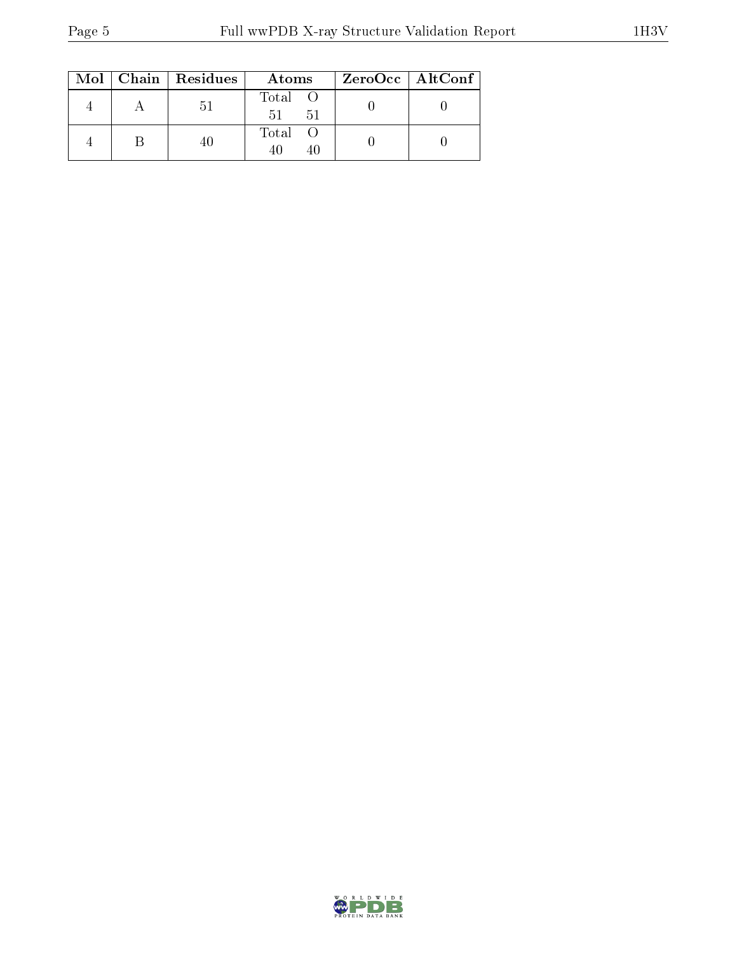|  | Mol   Chain   Residues | Atoms               | $ZeroOcc$   AltConf |
|--|------------------------|---------------------|---------------------|
|  | 51                     | Total O<br>51<br>51 |                     |
|  |                        | Total O             |                     |

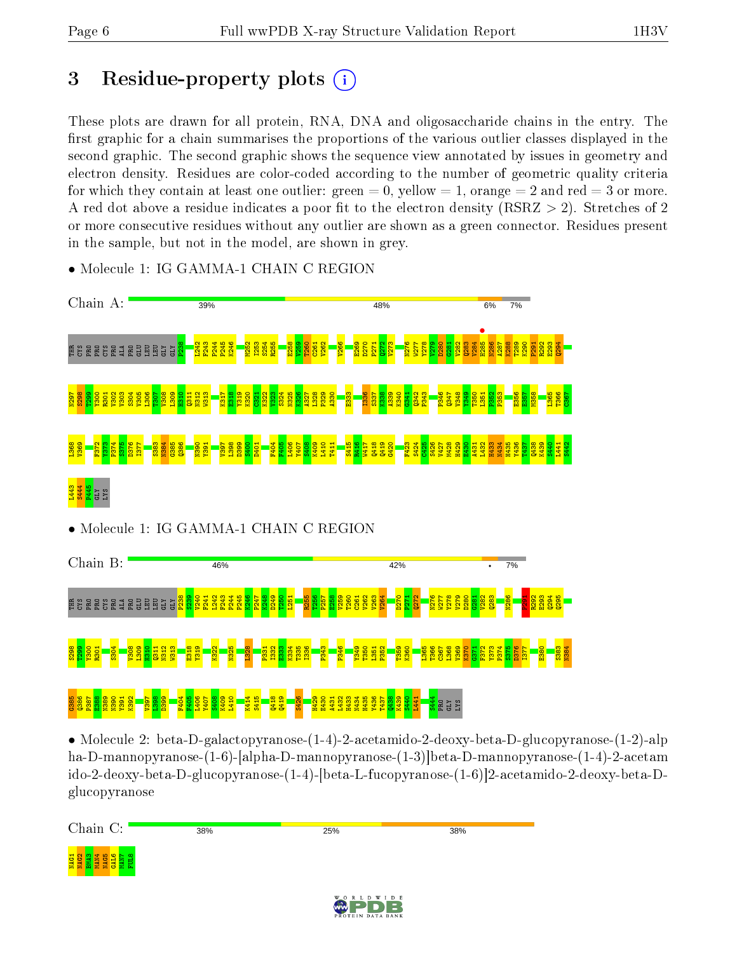# 3 Residue-property plots  $\binom{1}{1}$

• Molecule 1: IG GAMMA-1 CHAIN C REGION

These plots are drawn for all protein, RNA, DNA and oligosaccharide chains in the entry. The first graphic for a chain summarises the proportions of the various outlier classes displayed in the second graphic. The second graphic shows the sequence view annotated by issues in geometry and electron density. Residues are color-coded according to the number of geometric quality criteria for which they contain at least one outlier: green  $= 0$ , yellow  $= 1$ , orange  $= 2$  and red  $= 3$  or more. A red dot above a residue indicates a poor fit to the electron density ( $\text{RSRZ} > 2$ ). Stretches of 2 or more consecutive residues without any outlier are shown as a green connector. Residues present in the sample, but not in the model, are shown in grey.



• Molecule 2: beta-D-galactopyranose-(1-4)-2-acetamido-2-deoxy-beta-D-glucopyranose-(1-2)-alp ha-D-mannopyranose-(1-6)-[alpha-D-mannopyranose-(1-3)]beta-D-mannopyranose-(1-4)-2-acetam ido-2-deoxy-beta-D-glucopyranose-(1-4)-[beta-L-fucopyranose-(1-6)]2-acetamido-2-deoxy-beta-Dglucopyranose

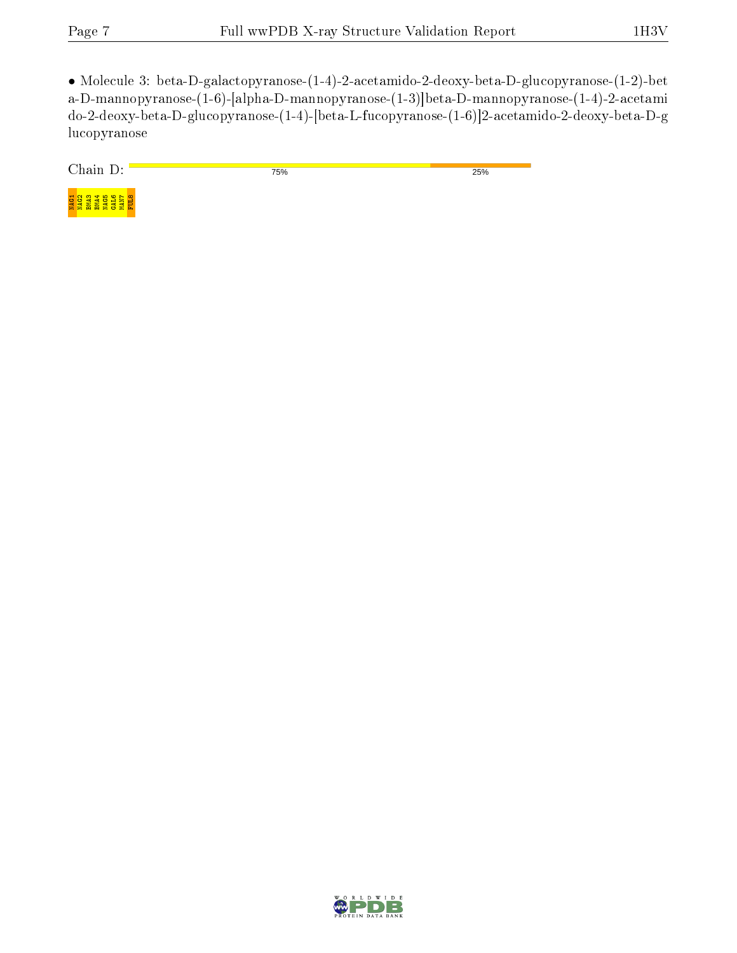• Molecule 3: beta-D-galactopyranose-(1-4)-2-acetamido-2-deoxy-beta-D-glucopyranose-(1-2)-bet a-D-mannopyranose-(1-6)-[alpha-D-mannopyranose-(1-3)]beta-D-mannopyranose-(1-4)-2-acetami do-2-deoxy-beta-D-glucopyranose-(1-4)-[beta-L-fucopyranose-(1-6)]2-acetamido-2-deoxy-beta-D-g lucopyranose

| $\overline{ }$<br>Choin<br>. .<br>uau.<br>ັ | 75% | 25% |
|---------------------------------------------|-----|-----|
| NAG1<br>NAG2<br>. .<br>÷<br>.               |     |     |

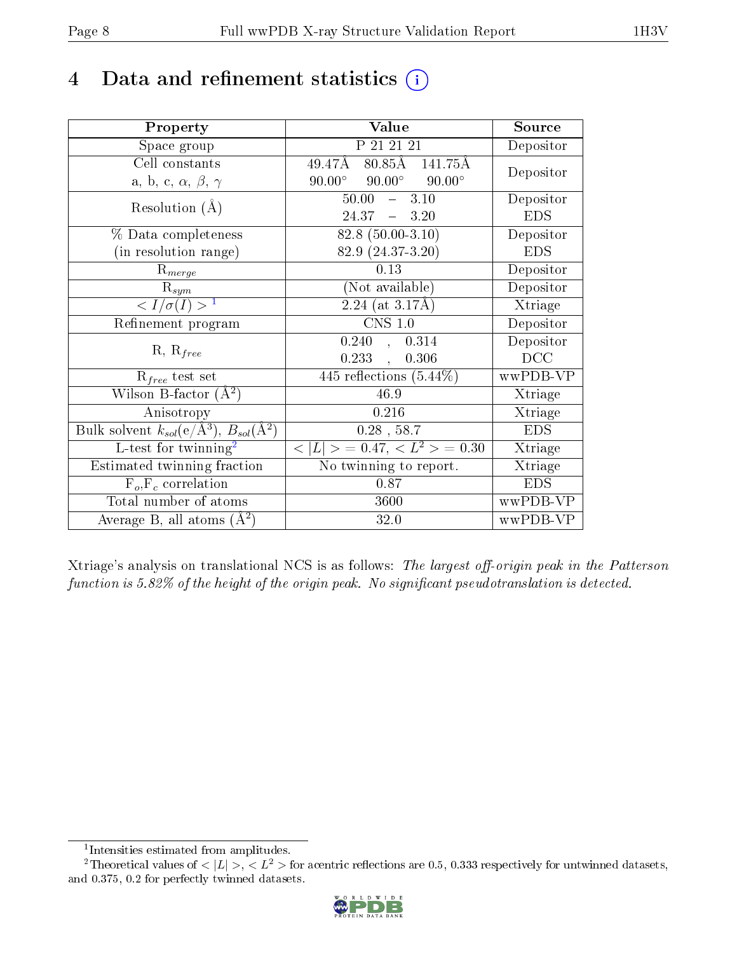# 4 Data and refinement statistics  $(i)$

| Property                                                         | Value                                            | Source     |
|------------------------------------------------------------------|--------------------------------------------------|------------|
| Space group                                                      | P 21 21 21                                       | Depositor  |
| Cell constants                                                   | $80.85$ Å $141.75$ Å<br>49.47Å                   | Depositor  |
| a, b, c, $\alpha$ , $\beta$ , $\gamma$                           | $90.00^{\circ}$ $90.00^{\circ}$<br>$90.00^\circ$ |            |
| Resolution $(A)$                                                 | $-3.10$<br>50.00                                 | Depositor  |
|                                                                  | $24.37 - 3.20$                                   | <b>EDS</b> |
| % Data completeness                                              | $82.8(50.00-3.10)$                               | Depositor  |
| (in resolution range)                                            | 82.9 (24.37-3.20)                                | <b>EDS</b> |
| $R_{merge}$                                                      | 0.13                                             | Depositor  |
| $\mathrm{R}_{sym}$                                               | (Not available)                                  | Depositor  |
| $\langle I/\sigma(I) \rangle^{-1}$                               | $2.24$ (at 3.17Å)                                | Xtriage    |
| Refinement program                                               | $\overline{\text{CNS} 1.0}$                      | Depositor  |
|                                                                  | 0.240, 0.314                                     | Depositor  |
| $R, R_{free}$                                                    | 0.233,<br>0.306                                  | DCC        |
| $R_{free}$ test set                                              | 445 reflections $(5.44\%)$                       | wwPDB-VP   |
| Wilson B-factor $(A^2)$                                          | 46.9                                             | Xtriage    |
| Anisotropy                                                       | 0.216                                            | Xtriage    |
| Bulk solvent $k_{sol}(\text{e}/\text{A}^3), B_{sol}(\text{A}^2)$ | $0.28\,$ , $58.7\,$                              | <b>EDS</b> |
| L-test for $\mathrm{twinning}^2$                                 | $< L >$ = 0.47, $< L2 >$ = 0.30                  | Xtriage    |
| Estimated twinning fraction                                      | No twinning to report.                           | Xtriage    |
| $\overline{F_o}, \overline{F_c}$ correlation                     | 0.87                                             | <b>EDS</b> |
| Total number of atoms                                            | 3600                                             | wwPDB-VP   |
| Average B, all atoms $(A^2)$                                     | 32.0                                             | wwPDB-VP   |

Xtriage's analysis on translational NCS is as follows: The largest off-origin peak in the Patterson function is  $5.82\%$  of the height of the origin peak. No significant pseudotranslation is detected.

<sup>&</sup>lt;sup>2</sup>Theoretical values of  $\langle |L| \rangle$ ,  $\langle L^2 \rangle$  for acentric reflections are 0.5, 0.333 respectively for untwinned datasets, and 0.375, 0.2 for perfectly twinned datasets.



<span id="page-7-1"></span><span id="page-7-0"></span><sup>1</sup> Intensities estimated from amplitudes.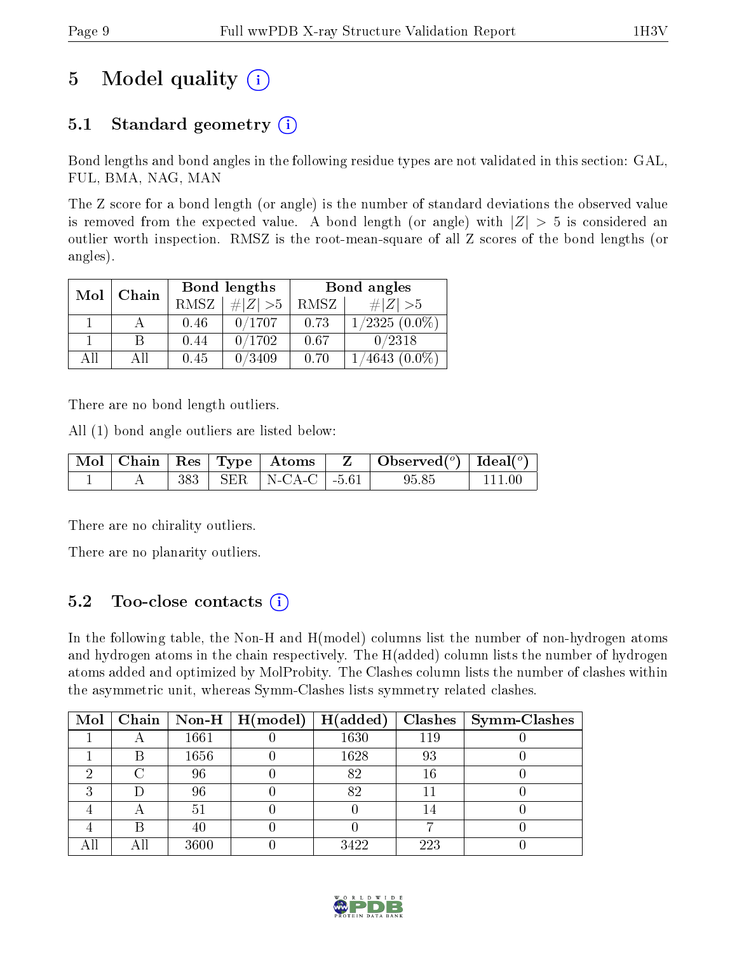# 5 Model quality  $(i)$

# 5.1 Standard geometry  $(i)$

Bond lengths and bond angles in the following residue types are not validated in this section: GAL, FUL, BMA, NAG, MAN

The Z score for a bond length (or angle) is the number of standard deviations the observed value is removed from the expected value. A bond length (or angle) with  $|Z| > 5$  is considered an outlier worth inspection. RMSZ is the root-mean-square of all Z scores of the bond lengths (or angles).

| Mol | Chain |             | Bond lengths | Bond angles |                   |  |
|-----|-------|-------------|--------------|-------------|-------------------|--|
|     |       | <b>RMSZ</b> | $\# Z  > 5$  | RMSZ        | $\# Z  > 5$       |  |
|     |       | 0.46        | 0/1707       | 0.73        | $1/2325(0.0\%)$   |  |
|     | В     | 0.44        | 0/1702       | 0.67        | 0/2318            |  |
| ΑH  | ΑH    | 0.45        | 0/3409       | 0.70        | $(0.0\%)$<br>4643 |  |

There are no bond length outliers.

All (1) bond angle outliers are listed below:

|  |     | $\mid$ Mol $\mid$ Chain $\mid$ Res $\mid$ Type $\mid$ Atoms $\mid$ | $\vert$ Observed $(^\circ)\vert$ Ideal $(^\circ)$ |  |
|--|-----|--------------------------------------------------------------------|---------------------------------------------------|--|
|  | 383 | $\perp$ SER   N-CA-C   -5.61.                                      | 95.85                                             |  |

There are no chirality outliers.

There are no planarity outliers.

## 5.2 Too-close contacts (i)

In the following table, the Non-H and H(model) columns list the number of non-hydrogen atoms and hydrogen atoms in the chain respectively. The H(added) column lists the number of hydrogen atoms added and optimized by MolProbity. The Clashes column lists the number of clashes within the asymmetric unit, whereas Symm-Clashes lists symmetry related clashes.

| $\text{Mol}$ |   |                | $\mid$ Chain $\mid$ Non-H $\mid$ H(model) | H(added) |     | $Clashes$   Symm-Clashes |
|--------------|---|----------------|-------------------------------------------|----------|-----|--------------------------|
|              |   | 1661           |                                           | 1630     | 119 |                          |
|              |   | 1656           |                                           | 1628     | 93  |                          |
|              |   | 96             |                                           | 82       | 16  |                          |
|              |   | 96             |                                           | 82       |     |                          |
|              |   | 5 <sup>1</sup> |                                           |          |     |                          |
|              | R | 40             |                                           |          |     |                          |
|              |   | 3600           |                                           | 3422     | 223 |                          |

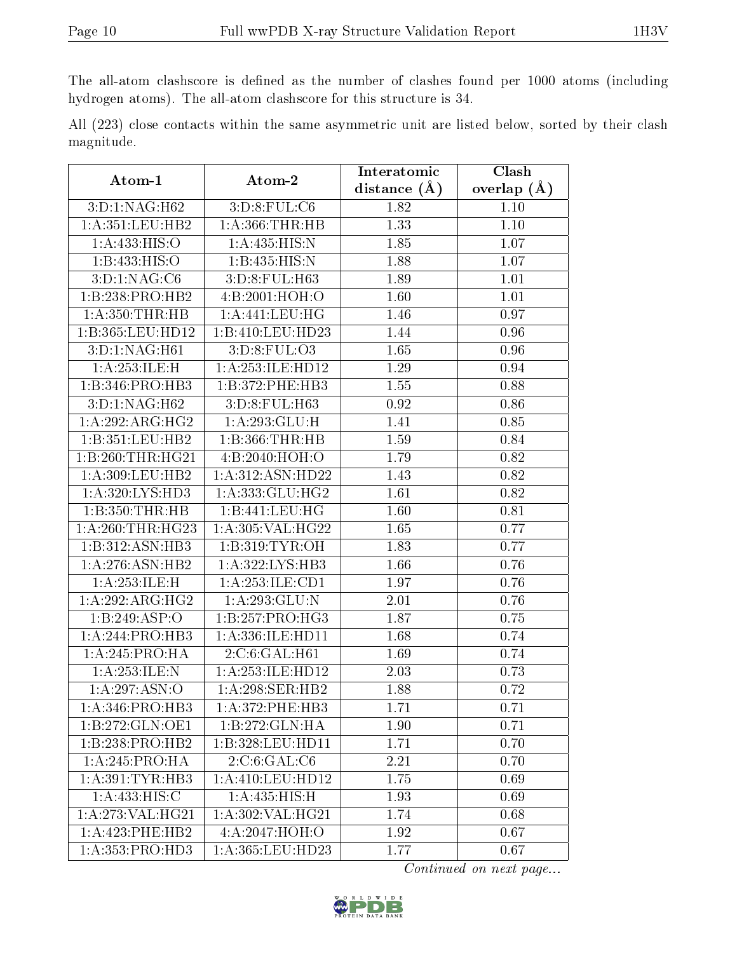The all-atom clashscore is defined as the number of clashes found per 1000 atoms (including hydrogen atoms). The all-atom clashscore for this structure is 34.

All (223) close contacts within the same asymmetric unit are listed below, sorted by their clash magnitude.

| Atom-1              | Atom-2               | Interatomic    | Clash         |
|---------------------|----------------------|----------------|---------------|
|                     |                      | distance $(A)$ | overlap $(A)$ |
| 3:D:1:NAG:H62       | 3: D:8: FUL: C6      | 1.82           | 1.10          |
| 1: A: 351: LEU: HB2 | 1: A: 366: THR: HB   | 1.33           | 1.10          |
| 1:A:433:HIS:O       | 1:A:435:HIS:N        | 1.85           | 1.07          |
| 1:B:433:HIS:O       | 1:B:435:HIS:N        | 1.88           | 1.07          |
| 3: D: 1: NAG: C6    | 3:D:8:FUL:H63        | 1.89           | 1.01          |
| 1:B:238:PRO:HB2     | 4:B:2001:HOH:O       | 1.60           | 1.01          |
| 1:A:350:THR:HB      | 1: A: 441: LEU: HG   | 1.46           | 0.97          |
| 1:B:365:LEU:HD12    | 1:B:410:LEU:HD23     | 1.44           | 0.96          |
| 3:D:1:NAG:H61       | 3:D:8:FUL:O3         | 1.65           | 0.96          |
| 1:A:253:ILE:H       | 1:A:253:ILE:HD12     | 1.29           | 0.94          |
| 1:B:346:PRO:HB3     | 1:B:372:PHE:HB3      | 1.55           | 0.88          |
| 3:D:1:NAG:H62       | 3:D:8:FUL:H63        | 0.92           | 0.86          |
| 1:A:292:ARG:HG2     | 1:A:293:GLU:H        | 1.41           | 0.85          |
| 1:B:351:LEU:HB2     | 1:B:366:THR:HB       | 1.59           | 0.84          |
| 1:B:260:THR:HG21    | 4: B: 2040: HOH:O    | 1.79           | 0.82          |
| 1:A:309:LEU:HB2     | 1:A:312:ASN:HD22     | 1.43           | 0.82          |
| 1: A:320: LYS: HD3  | 1:A:333:GLU:HG2      | 1.61           | 0.82          |
| 1:B:350:THR:HB      | 1:B:441:LEU:HG       | 1.60           | 0.81          |
| 1: A:260:THR:HG23   | 1: A:305: VAL:HG22   | 1.65           | 0.77          |
| 1:B:312:ASN:HB3     | 1: B: 319: TYR: OH   | 1.83           | 0.77          |
| 1: A:276: ASN:HB2   | 1: A:322: LYS: HB3   | 1.66           | 0.76          |
| 1:A:253:ILE:H       | 1:A:253:ILE:CD1      | 1.97           | 0.76          |
| 1:A:292:ARG:HG2     | 1:A:293:GLU:N        | 2.01           | 0.76          |
| 1:B:249:ASP:O       | 1:B:257:PRO:HG3      | 1.87           | 0.75          |
| 1:A:244:PRO:HB3     | 1:A:336:ILE:HD11     | 1.68           | 0.74          |
| 1:A:245:PRO:HA      | 2:C:6:GAL:H61        | 1.69           | 0.74          |
| $1:$ A:253:ILE:N    | 1: A: 253: ILE: HD12 | 2.03           | 0.73          |
| 1:A:297:ASN:O       | 1:A:298:SER:HB2      | 1.88           | 0.72          |
| 1: A:346: PRO:HB3   | 1:A:372:PHE:HB3      | 1.71           | 0.71          |
| 1:B:272:GLN:OE1     | 1:B:272:GLN:HA       | 1.90           | 0.71          |
| 1:B:238:PRO:HB2     | 1:B:328:LEU:HD11     | 1.71           | 0.70          |
| 1: A:245:PRO:HA     | 2: C:6: GAL: C6      | 2.21           | 0.70          |
| 1: A:391: TYR:HB3   | 1: A:410:LEU:HD12    | 1.75           | 0.69          |
| 1:A:433:HIS:C       | 1:A:435:HIS:H        | 1.93           | 0.69          |
| 1: A:273: VAL:HG21  | 1: A:302: VAL:HG21   | 1.74           | 0.68          |
| 1: A: 423: PHE: HB2 | 4:A:2047:HOH:O       | 1.92           | 0.67          |
| 1:A:353:PRO:HD3     | 1:A:365:LEU:HD23     | 1.77           | 0.67          |

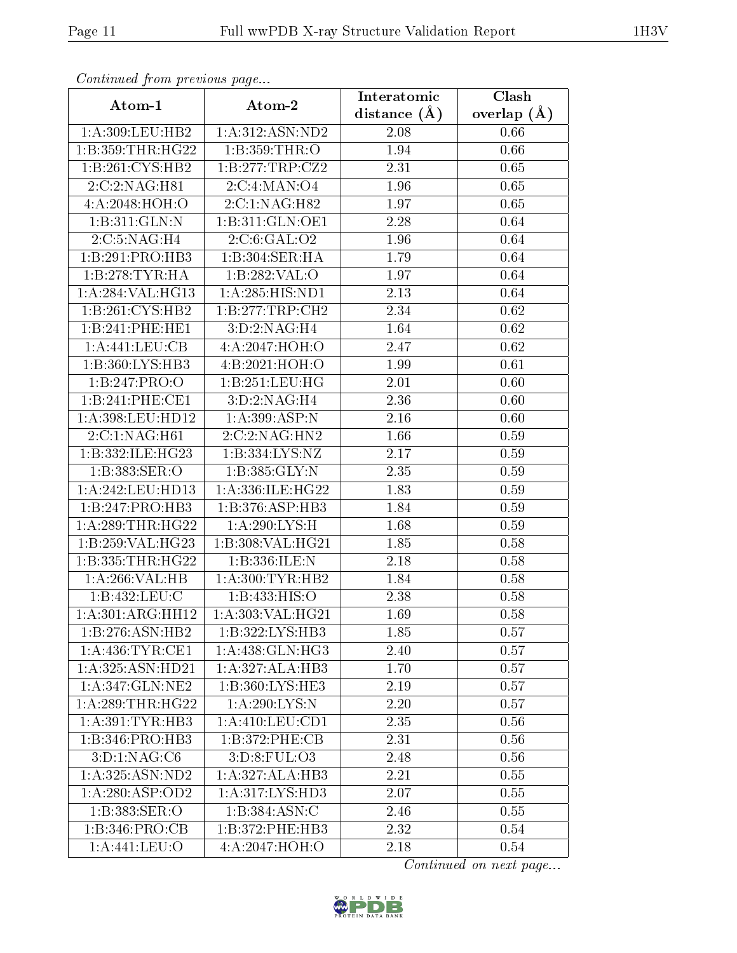| Continuea from previous page |                                | Interatomic      | Clash           |
|------------------------------|--------------------------------|------------------|-----------------|
| Atom-1                       | Atom-2                         | distance $(\AA)$ | overlap $(\AA)$ |
| 1: A:309:LEU:HB2             | 1:A:312:ASN:ND2                | 2.08             | 0.66            |
| 1:B:359:THR:HG22             | 1:B:359:THR:O                  | 1.94             | 0.66            |
| 1:B:261:CYS:HB2              | 1:B:277:TRP:CZ2                | 2.31             | 0.65            |
| 2:C:2:NAG:H81                | 2:C:4:MAN:O4                   | 1.96             | 0.65            |
| 4:A:2048:HOH:O               | 2:C:1:NAG:H82                  | 1.97             | 0.65            |
| 1:B:311:GLN:N                | 1:B:311:GLN:OE1                | 2.28             | 0.64            |
| 2:C:5:NAG:H4                 | 2:C:6:GAL:O2                   | 1.96             | 0.64            |
| 1:B:291:PRO:HB3              | 1:B:304:SER:HA                 | 1.79             | 0.64            |
| 1:B:278:TYR:HA               | 1:B:282:VAL:O                  | 1.97             | 0.64            |
| 1:A:284:VAL:HG13             | 1:A:285:HIS:ND1                | 2.13             | 0.64            |
| 1:B:261:CYS:HB2              | 1:B:277:TRP:CH2                | 2.34             | 0.62            |
| 1:B:241:PHE:HE1              | 3:D:2:NAG:H4                   | 1.64             | 0.62            |
| 1:A:441:LEU:CB               | 4:A:2047:HOH:O                 | 2.47             | 0.62            |
| 1:B:360:LYS:HB3              | 4:B:2021:HOH:O                 | 1.99             | 0.61            |
| 1:B:247:PRO:O                | 1:B:251:LEU:HG                 | 2.01             | 0.60            |
| 1:B:241:PHE:CE1              | 3: D: 2: NAG: H4               | 2.36             | 0.60            |
| 1: A:398:LEU:HD12            | 1:A:399:ASP:N                  | 2.16             | 0.60            |
| 2:C:1:NAG:H61                | 2:C:2:NAG:HN2                  | 1.66             | 0.59            |
| 1:B:332:ILE:HG23             | 1:B:334:LYS:NZ                 | 2.17             | 0.59            |
| 1:B:383:SER:O                | 1:B:385:GLY:N                  | 2.35             | 0.59            |
| 1:A:242:LEU:HD13             | 1:A:336:ILE:HG22               | 1.83             | 0.59            |
| 1:B:247:PRO:HB3              | 1:B:376:ASP:HB3                | 1.84             | 0.59            |
| 1: A:289:THR:HG22            | 1:A:290:LYS:H                  | 1.68             | 0.59            |
| 1:B:259:VAL:HG23             | 1:B:308:VAL:HG21               | 1.85             | 0.58            |
| 1:B:335:THR:HG22             | 1:B:336:ILE:N                  | 2.18             | 0.58            |
| 1:A:266:VAL:HB               | 1: A:300: TYR: HB2             | 1.84             | 0.58            |
| 1:B:432:LEU:C                | 1:B:433:HIS:O                  | 2.38             | 0.58            |
| 1:A:301:ARG:HH12             | 1:A:303:VAL:HG21               | 1.69             | 0.58            |
| 1:B:276:ASN:HB2              | 1:B:322:LYS:HB3                | 1.85             | 0.57            |
| 1: A:436: TYR: CE1           | 1: A: 438: GLN: HG3            | 2.40             | 0.57            |
| 1:A:325:ASN:HD21             | 1:A:327:ALA:HB3                | 1.70             | 0.57            |
| 1: A:347: GLN: NE2           | 1: B:360: LYS: HE3             | 2.19             | 0.57            |
| 1: A:289:THR:HG22            | 1: A:290: LYS:N                | 2.20             | 0.57            |
| 1: A:391: TYR:HB3            | 1: A:410:LEU:CD1               | 2.35             | 0.56            |
| 1:B:346:PRO:HB3              | 1:B:372:PHE:CB                 | 2.31             | 0.56            |
| 3: D: 1: NAG: C6             | 3: D:8: FUL:O3                 | 2.48             | 0.56            |
| 1: A: 325: ASN: ND2          | 1:A:327:ALA:HB3                | 2.21             | 0.55            |
| 1:A:280:ASP:OD2              | 1:A:317:LYS:HD3                | 2.07             | 0.55            |
| 1:B:383:SER:O                | $1: B: 384: ASN: \overline{C}$ | 2.46             | 0.55            |
| 1:B:346:PRO:CB               | 1:B:372:PHE:HB3                | 2.32             | 0.54            |
| 1:A:441:LEU:O                | 4:A:2047:HOH:O                 | 2.18             | 0.54            |

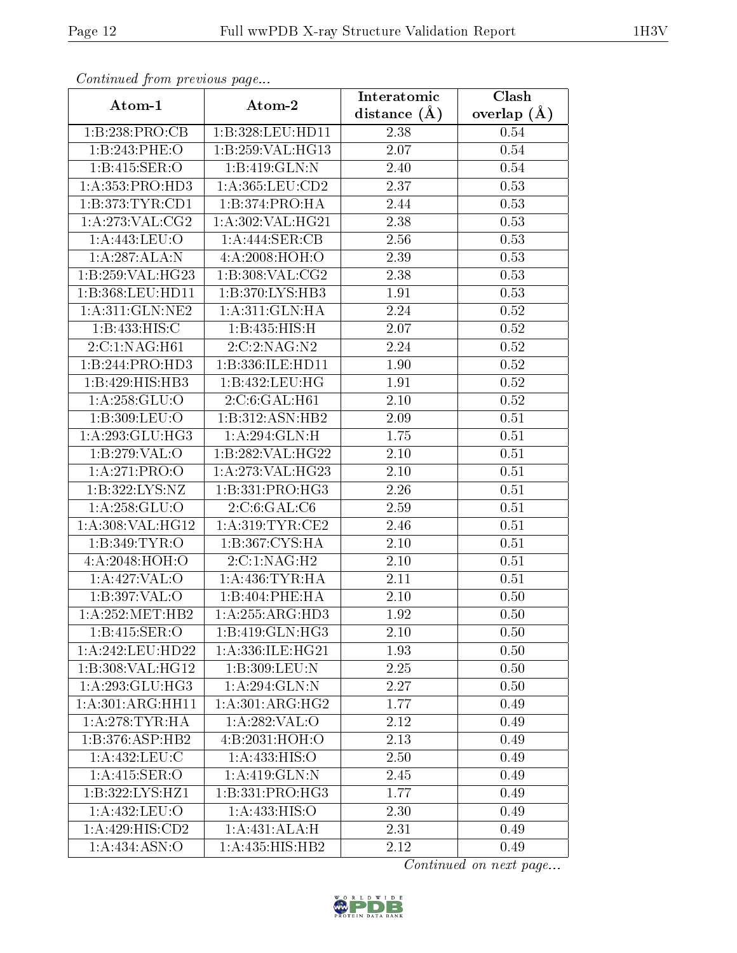| Communica from precious page |                              | Interatomic    | Clash         |
|------------------------------|------------------------------|----------------|---------------|
| Atom-1                       | Atom-2                       | distance $(A)$ | overlap $(A)$ |
| 1:B:238:PRO:CB               | 1:B:328:LEU:HD11             | 2.38           | 0.54          |
| 1:B:243:PHE:O                | 1:B:259:VAL:HG13             | 2.07           | 0.54          |
| 1: B: 415: SER: O            | 1:B:419:GLN:N                | 2.40           | 0.54          |
| 1:A:353:PRO:HD3              | 1: A: 365: LEU: CD2          | 2.37           | 0.53          |
| 1:B:373:TYR:CD1              | 1:B:374:PRO:HA               | 2.44           | 0.53          |
| 1: A:273: VAL: CG2           | 1:A:302:VAL:HG21             | 2.38           | 0.53          |
| 1:A:443:LEU:O                | 1:A:444:SER:CB               | 2.56           | 0.53          |
| 1:A:287:ALA:N                | 4:A:2008:HOH:O               | 2.39           | 0.53          |
| 1:B:259:VAL:HG23             | 1: B: 308: VAL: CG2          | 2.38           | 0.53          |
| 1:B:368:LEU:HD11             | 1:B:370:LYS:HB3              | 1.91           | 0.53          |
| 1:A:311:GLN:NE2              | 1: A:311: GLN: HA            | 2.24           | 0.52          |
| 1:B:433:HIS:C                | 1:B:435:HIS:H                | 2.07           | $0.52\,$      |
| 2:C:1:NAG:H61                | 2:C:2:NAG:N2                 | 2.24           | $0.52\,$      |
| 1:B:244:PRO:HD3              | 1:B:336:ILE:HD11             | 1.90           | 0.52          |
| 1:B:429:HIS:HB3              | 1:B:432:LEU:HG               | 1.91           | 0.52          |
| 1: A:258: GLU:O              | 2:C:6:GAL:H61                | 2.10           | 0.52          |
| 1:B:309:LEU:O                | 1:B:312:ASN:HB2              | 2.09           | 0.51          |
| 1: A:293: GLU:HG3            | 1:A:294:GLN:H                | 1.75           | 0.51          |
| $1:B:279:\overline{VAL:O}$   | 1:B:282:VAL:HG22             | 2.10           | 0.51          |
| 1:A:271:PRO:O                | 1:A:273:VAL:HG23             | $2.10\,$       | 0.51          |
| 1:B:322:LYS:NZ               | 1:B:331:PRO:HG3              | 2.26           | 0.51          |
| 1:A:258:GLU:O                | 2:C:6:GAL:C6                 | 2.59           | 0.51          |
| 1: A:308: VAL:HG12           | 1: A:319: TYR: CE2           | 2.46           | 0.51          |
| 1:B:349:TYR:O                | 1:B:367:CYS:HA               | 2.10           | 0.51          |
| 4: A:2048:HOH:O              | 2:C:1:NAG:H2                 | 2.10           | 0.51          |
| 1:A:427:VAL:O                | 1: A: 436: TYR: HA           | 2.11           | 0.51          |
| 1:B:397:VAL:O                | 1:B:404:PHE:HA               | 2.10           | 0.50          |
| 1:A:252:MET:HB2              | 1:A:255:ARG:HD3              | 1.92           | 0.50          |
| 1: B: 415: SER: O            | 1:B:419:GLN:HG3              | 2.10           | 0.50          |
| 1:A:242:LEU:HD22             | 1:A:336:ILE:HG21             | 1.93           | 0.50          |
| 1:B:308:VAL:HG12             | 1:B:309:LEU:N                | 2.25           | 0.50          |
| 1: A:293: GLU:HG3            | 1:A:294:GLN:N                | 2.27           | 0.50          |
| 1:A:301:ARG:HH11             | 1:A:301:ARG:HG2              | 1.77           | 0.49          |
| 1: A:278:TYR:HA              | 1:A:282:VAL:O                | 2.12           | 0.49          |
| 1:B:376:ASP:HB2              | 4:B:2031:HOH:O               | 2.13           | 0.49          |
| 1: A: 432: LEU: C            | 1: A: 433: HIS: O            | 2.50           | 0.49          |
| 1:A:415:SER:O                | 1:A:419:GLN:N                | 2.45           | 0.49          |
| 1:B:322:LYS:HZ1              | $1:B:331:PRO:\overline{HG3}$ | 1.77           | 0.49          |
| 1:A:432:LEU:O                | 1:A:433:HIS:O                | 2.30           | 0.49          |
| 1:A:429:HIS:CD2              | 1:A:431:ALA:H                | 2.31           | 0.49          |
| 1:A:434:ASN:O                | 1:A:435:HIS:HB2              | 2.12           | 0.49          |

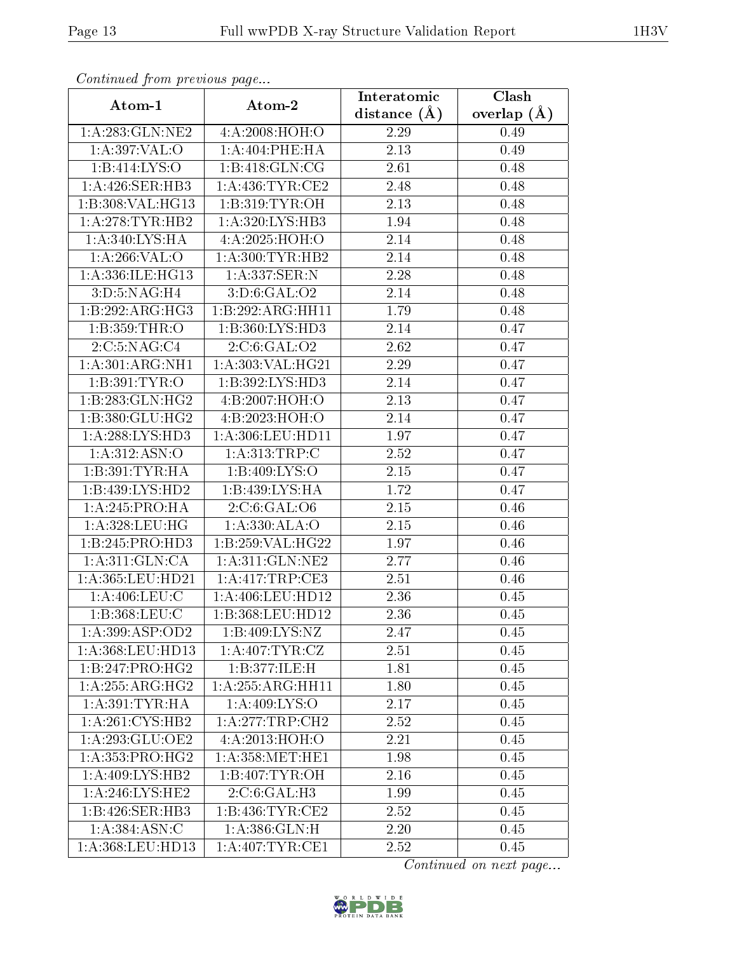| Continuea from previous page |                     | Interatomic       | Clash         |
|------------------------------|---------------------|-------------------|---------------|
| Atom-1                       | Atom-2              | distance $(A)$    | overlap $(A)$ |
| 1:A:283:GLN:NE2              | 4:A:2008:HOH:O      | 2.29              | 0.49          |
| 1:A:397:VAL:O                | 1: A:404:PHE:HA     | 2.13              | 0.49          |
| 1:B:414:LYS:O                | 1: B:418: GLN: CG   | 2.61              | 0.48          |
| 1: A:426: SER: HB3           | 1: A: 436: TYR: CE2 | 2.48              | 0.48          |
| 1:B:308:VAL:HG13             | 1:B:319:TYR:OH      | 2.13              | 0.48          |
| $1:A:278:TYR:H\overline{B2}$ | 1: A:320: LYS: HB3  | 1.94              | 0.48          |
| 1: A:340: LYS: HA            | 4:A:2025:HOH:O      | 2.14              | 0.48          |
| 1: A:266: VAL:O              | 1: A:300: TYR: HB2  | 2.14              | 0.48          |
| 1:A:336:ILE:HG13             | 1:A:337:SER:N       | 2.28              | 0.48          |
| 3: D: 5: NAG: H4             | 3:D:6:GAL:O2        | 2.14              | 0.48          |
| $1:B:292:AR\overline{G:HG3}$ | 1:B:292:ARG:HH11    | 1.79              | 0.48          |
| 1:B:359:THR:O                | 1:B:360:LYS:HD3     | 2.14              | 0.47          |
| 2:C:5:NAG:C4                 | 2:C:6:GAL:O2        | 2.62              | 0.47          |
| 1:A:301:ARG:NH1              | 1:A:303:VAL:HG21    | 2.29              | 0.47          |
| 1:B:391:TYR:O                | 1:B:392:LYS:HD3     | 2.14              | 0.47          |
| $1:B:283:$ GLN:HG2           | 4:B:2007:HOH:O      | 2.13              | 0.47          |
| 1:B:380:GLU:HG2              | 4:B:2023:HOH:O      | 2.14              | 0.47          |
| 1: A:288:LYS:HD3             | 1:A:306:LEU:HD11    | 1.97              | 0.47          |
| 1:A:312:ASN:O                | 1: A:313:TRP:C      | 2.52              | 0.47          |
| 1: B: 391: TYR: HA           | 1: B:409: LYS:O     | 2.15              | 0.47          |
| 1:B:439:LYS:HD2              | 1:B:439:LYS:HA      | 1.72              | 0.47          |
| 1: A:245:PRO:HA              | 2:C:6:GAL:O6        | 2.15              | 0.46          |
| $1: A: 328: \text{LEU:HG}$   | 1:A:330:ALA:O       | 2.15              | 0.46          |
| 1:B:245:PRO:HD3              | 1:B:259:VAL:HG22    | 1.97              | 0.46          |
| 1: A:311: GLN:CA             | 1: A:311: GLN: NE2  | 2.77              | 0.46          |
| 1:A:365:LEU:HD21             | 1: A:417:TRP:CE3    | $\overline{2.51}$ | 0.46          |
| 1: A:406:LEU:C               | 1:A:406:LEU:HD12    | 2.36              | 0.45          |
| 1:B:368:LEU:C                | 1:B:368:LEU:HD12    | 2.36              | 0.45          |
| 1: A:399: ASP:OD2            | 1:B:409:LYS:NZ      | 2.47              | 0.45          |
| 1: A:368:LEU:HD13            | 1:A:407:TYR:CZ      | 2.51              | 0.45          |
| 1:B:247:PRO:HG2              | 1:B:377:ILE:H       | 1.81              | 0.45          |
| 1:A:255:ARG:HG2              | 1:A:255:ARG:HH11    | 1.80              | 0.45          |
| $1:A:391:TYR:\overline{HA}$  | 1: A:409: LYS:O     | 2.17              | 0.45          |
| 1: A:261:CYS:HB2             | 1:A:277:TRP:CH2     | 2.52              | 0.45          |
| 1:A:293:GLU:OE2              | 4: A:2013:HOH:O     | 2.21              | 0.45          |
| 1: A: 353: PRO:HG2           | 1: A: 358: MET: HE1 | 1.98              | 0.45          |
| 1: A:409: LYS: HB2           | 1:B:407:TYR:OH      | 2.16              | 0.45          |
| 1:A:246:LYS:HE2              | 2:C:6:GAL:H3        | 1.99              | 0.45          |
| 1:B:426:SER:HB3              | 1:B:436:TYR:CE2     | 2.52              | 0.45          |
| 1:A:384:ASN:C                | 1:A:386:GLN:H       | 2.20              | 0.45          |
| 1:A:368:LEU:HD13             | 1: A:407: TYR:CE1   | 2.52              | 0.45          |

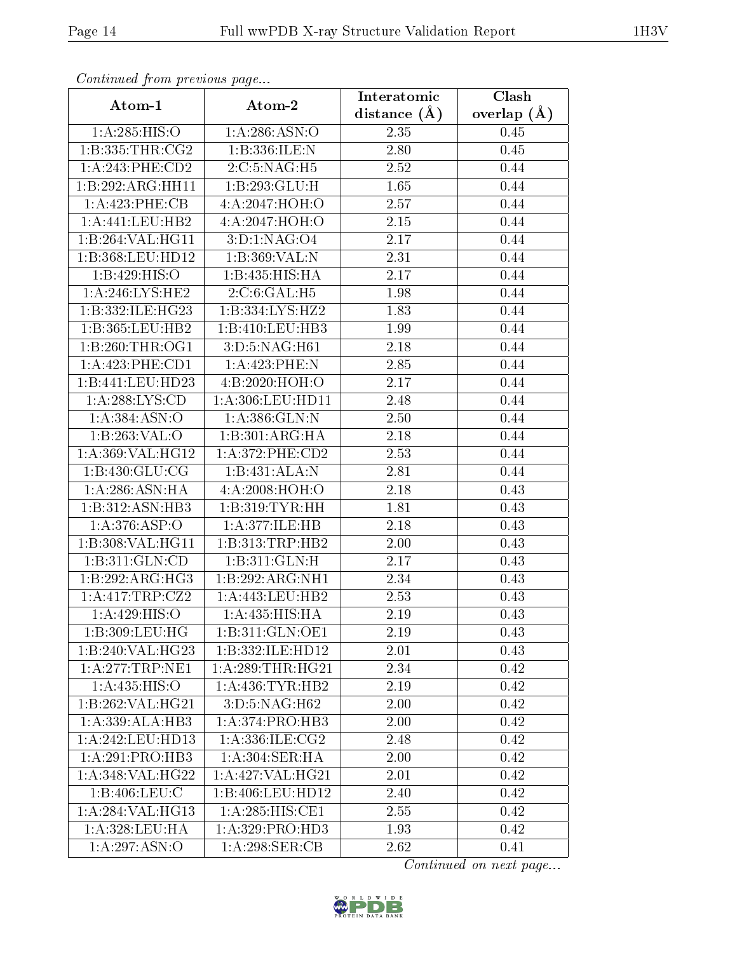| Comunaca jiom previous page |                     | Interatomic    | Clash         |
|-----------------------------|---------------------|----------------|---------------|
| Atom-1                      | Atom-2              | distance $(A)$ | overlap $(A)$ |
| 1:A:285:HIS:O               | 1:A:286:ASN:O       | 2.35           | 0.45          |
| 1: B: 335: THR: CG2         | 1:B:336:ILE:N       | <b>2.80</b>    | 0.45          |
| 1:A:243:PHE:CD2             | 2:C:5:NAG:H5        | 2.52           | 0.44          |
| 1:B:292:ARG:HH11            | 1:B:293:GLU:H       | 1.65           | 0.44          |
| 1:A:423:PHE:CB              | 4: A:2047:HOH:O     | 2.57           | 0.44          |
| 1: A: 441: LEU: HB2         | 4:A:2047:HOH:O      | 2.15           | 0.44          |
| 1:B:264:VAL:HG11            | 3: D: 1: NAG: O4    | 2.17           | 0.44          |
| 1:B:368:LEU:HD12            | 1:B:369:VAL:N       | 2.31           | 0.44          |
| 1:B:429:HIS:O               | 1:B:435:HIS:HA      | 2.17           | 0.44          |
| 1: A:246:LYS:HE2            | 2:C:6:GAL:H5        | 1.98           | 0.44          |
| 1:B:332:ILE:HG23            | 1:B:334:LYS:HZ2     | 1.83           | 0.44          |
| 1:B:365:LEU:HB2             | 1:B:410:LEU:HB3     | 1.99           | 0.44          |
| 1:B:260:THR:OG1             | 3:D:5:NAG:H61       | 2.18           | 0.44          |
| 1:A:423:PHE:CD1             | 1:A:423:PHE:N       | 2.85           | 0.44          |
| 1:B:441:LEU:HD23            | 4:B:2020:HOH:O      | 2.17           | 0.44          |
| 1:A:288:LYS:CD              | 1: A:306: LEU: HD11 | 2.48           | 0.44          |
| 1: A: 384: ASN: O           | 1:A:386:GLN:N       | 2.50           | 0.44          |
| 1:B:263:VAL:O               | 1:B:301:ARG:HA      | 2.18           | 0.44          |
| 1:A:369:VAL:HG12            | 1:A:372:PHE:CD2     | 2.53           | 0.44          |
| 1: B: 430: GLU: CG          | 1:B:431:ALA:N       | 2.81           | 0.44          |
| 1: A:286: ASN:HA            | 4:A:2008:HOH:O      | 2.18           | 0.43          |
| 1:B:312:ASN:HB3             | 1: B:319: TYR: HH   | 1.81           | 0.43          |
| 1: A:376: ASP:O             | 1: A:377: ILE: HB   | 2.18           | 0.43          |
| 1:B:308:VAL:HG11            | 1:B:313:TRP:HB2     | 2.00           | 0.43          |
| 1:B:311:GLN:CD              | 1:B:311:GLN:H       | 2.17           | 0.43          |
| 1:B:292:ARG:HG3             | 1:B:292:ARG:NH1     | 2.34           | 0.43          |
| 1:A:417:TRP:CZ2             | 1: A:443:LEU:HB2    | 2.53           | 0.43          |
| 1:A:429:HIS:O               | 1:A:435:HIS:HA      | 2.19           | 0.43          |
| 1: B: 309: LEU: HG          | 1: B: 311: GLN: OE1 | 2.19           | 0.43          |
| 1:B:240:VAL:HG23            | 1:B:332:ILE:HD12    | 2.01           | 0.43          |
| 1: A: 277: TRP: NE1         | 1: A:289:THR:HG21   | 2.34           | 0.42          |
| 1: A: 435: HIS: O           | 1: A: 436: TYR: HB2 | 2.19           | 0.42          |
| 1:B:262:VAL:HG21            | 3:D:5:NAG:H62       | 2.00           | 0.42          |
| 1:A:339:ALA:HB3             | 1: A:374: PRO:HB3   | 2.00           | 0.42          |
| 1: A:242:LEU:HD13           | 1:A:336:ILE:CG2     | 2.48           | 0.42          |
| 1:A:291:PRO:HB3             | 1: A:304: SER: HA   | 2.00           | 0.42          |
| 1:A:348:VAL:H G22           | 1:A:427:VAL:HG21    | 2.01           | 0.42          |
| 1:B:406:LEU:C               | 1:B:406:LEU:HD12    | 2.40           | 0.42          |
| 1:A:284:VAL:HG13            | 1: A:285: HIS: CE1  | 2.55           | 0.42          |
| 1: A:328:LEU:HA             | 1: A: 329: PRO: HD3 | 1.93           | 0.42          |
| 1:A:297:ASN:O               | 1: A:298: SER:CB    | 2.62           | 0.41          |

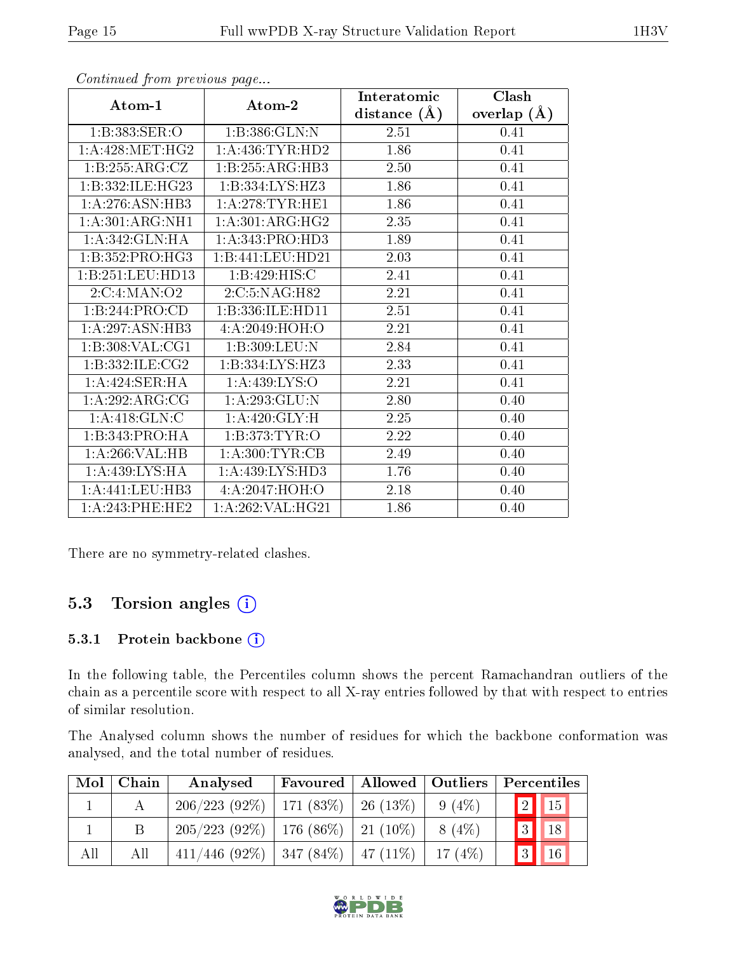|                     |                     | Interatomic      | Clash         |  |
|---------------------|---------------------|------------------|---------------|--|
| Atom-1              | Atom-2              | distance $(\AA)$ | overlap $(A)$ |  |
| 1:B:383:SER:O       | 1:B:386:GLN:N       | 2.51             | 0.41          |  |
| 1: A:428: MET:HG2   | 1: A: 436: TYR: HD2 | 1.86             | 0.41          |  |
| 1:B:255:ARG:CZ      | 1:B:255:ARG:HB3     | 2.50             | 0.41          |  |
| 1:B:332:ILE:HG23    | 1: B: 334: LYS: HZ3 | 1.86             | 0.41          |  |
| 1: A:276: ASN:HB3   | 1: A:278:TYR:HE1    | 1.86             | 0.41          |  |
| 1:A:301:ARG:NH1     | 1:A:301:ARG:HG2     | 2.35             | 0.41          |  |
| 1:A:342:GLN:HA      | 1: A: 343: PRO: HD3 | 1.89             | 0.41          |  |
| 1:B:352:PRO:HG3     | 1:B:441:LEU:HD21    | 2.03             | 0.41          |  |
| 1:B:251:LEU:HD13    | 1:B:429:HIS:C       | 2.41             | 0.41          |  |
| 2:C:4:MAN:O2        | 2:C:5:NAG:H82       | 2.21             | 0.41          |  |
| 1:B:244:PRO:CD      | 1:B:336:ILE:HD11    | 2.51             | 0.41          |  |
| 1:A:297:ASN:HB3     | 4:A:2049:HOH:O      | 2.21             | 0.41          |  |
| 1:B:308:VAL:CG1     | 1:B:309:LEU:N       | 2.84             | 0.41          |  |
| 1: B: 332: ILE: CG2 | 1:B:334:LYS:HZ3     | 2.33             | 0.41          |  |
| 1:A:424:SER:HA      | 1:A:439:LYS:O       | 2.21             | 0.41          |  |
| 1: A:292:ARG:CG     | 1:A:293:GLU:N       | 2.80             | 0.40          |  |
| 1:A:418:GLN:C       | 1: A:420: GLY: H    | 2.25             | 0.40          |  |
| 1:B:343:PRO:HA      | 1:B:373:TYR:O       | 2.22             | 0.40          |  |
| $1:A:266:VAL$ :HB   | 1: A:300: TYR: CB   | 2.49             | 0.40          |  |
| 1: A:439: LYS: HA   | 1: A: 439: LYS: HD3 | 1.76             | 0.40          |  |
| 1:A:441:LEU:HB3     | 4:A:2047:HOH:O      | $2.18\,$         | 0.40          |  |
| 1: A:243:PHE:HE2    | 1: A:262:VAL:HG21   | 1.86             | 0.40          |  |

There are no symmetry-related clashes.

### 5.3 Torsion angles (i)

### 5.3.1 Protein backbone (i)

In the following table, the Percentiles column shows the percent Ramachandran outliers of the chain as a percentile score with respect to all X-ray entries followed by that with respect to entries of similar resolution.

The Analysed column shows the number of residues for which the backbone conformation was analysed, and the total number of residues.

| Mol | $\mid$ Chain | Analysed                                  | Favoured | Allowed   Outliers |          | Percentiles              |
|-----|--------------|-------------------------------------------|----------|--------------------|----------|--------------------------|
|     |              | $206/223$ (92\%)   171 (83\%)   26 (13\%) |          |                    | 9(4%)    | $\boxed{2}$ $\boxed{15}$ |
|     |              | $205/223$ (92%)   176 (86%)   21 (10%)    |          |                    | $8(4\%)$ | $\boxed{3}$ $\boxed{18}$ |
| All | All          | $411/446$ (92%)   347 (84%)   47 (11%)    |          |                    | 17(4%)   | $\sqrt{16}$<br> 3        |

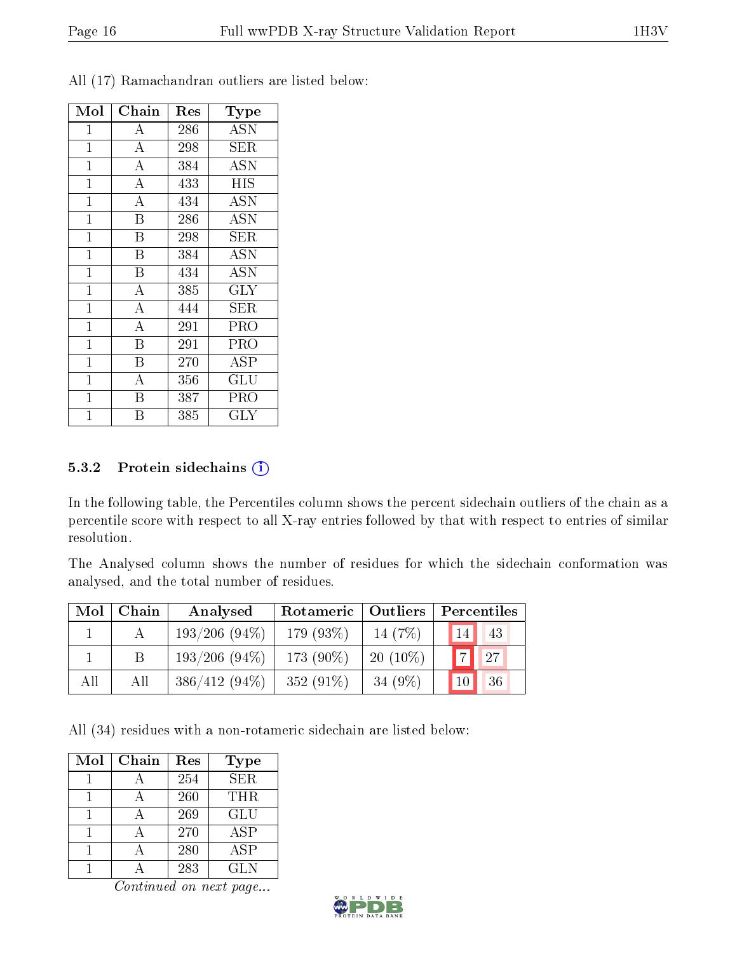| Mol            | Chain                   | Res | Type                           |
|----------------|-------------------------|-----|--------------------------------|
| $\mathbf 1$    | Α                       | 286 | <b>ASN</b>                     |
| $\mathbf{1}$   | $\overline{A}$          | 298 | SER                            |
| $\overline{1}$ | $\overline{\rm A}$      | 384 | $\overline{\mathrm{ASN}}$      |
| $\mathbf{1}$   | $\overline{A}$          | 433 | <b>HIS</b>                     |
| $\mathbf{1}$   | $\bf{A}$                | 434 | ASN                            |
| $\mathbf{1}$   | B                       | 286 | ASN                            |
| $\mathbf{1}$   | $\boldsymbol{B}$        | 298 | SER                            |
| $\mathbf{1}$   | $\, {\bf B}$            | 384 | ASN                            |
| $\mathbf{1}$   | $\overline{B}$          | 434 | ASN                            |
| $\mathbf{1}$   | $\overline{\rm A}$      | 385 | GLY                            |
| $\mathbf{1}$   | $\overline{A}$          | 444 | SER.                           |
| $\mathbf{1}$   | $\overline{A}$          | 291 | PRO                            |
| $\mathbf{1}$   | $\overline{\mathbf{B}}$ | 291 | PRO                            |
| $\mathbf{1}$   | $\overline{B}$          | 270 | ASP                            |
| $\overline{1}$ | $\overline{\rm A}$      | 356 | $\mathrm{GL} \bar{\mathrm{U}}$ |
| 1              | B                       | 387 | PRO                            |
| $\overline{1}$ | В                       | 385 | GLY                            |

All (17) Ramachandran outliers are listed below:

#### 5.3.2 Protein sidechains  $(i)$

In the following table, the Percentiles column shows the percent sidechain outliers of the chain as a percentile score with respect to all X-ray entries followed by that with respect to entries of similar resolution.

The Analysed column shows the number of residues for which the sidechain conformation was analysed, and the total number of residues.

| Mol | ${\bf Chain}$ | Analysed        | Rotameric    | Outliers   | Percentiles    |             |
|-----|---------------|-----------------|--------------|------------|----------------|-------------|
|     |               | $193/206(94\%)$ | 179 (93\%)   | 14(7%)     | 14             | 43          |
|     |               | $193/206(94\%)$ | 173 $(90\%)$ | $20(10\%)$ | $\overline{7}$ | $\sqrt{27}$ |
| All | All           | $386/412(94\%)$ | 352 $(91\%)$ | 34 (9%)    |                | 36          |

All (34) residues with a non-rotameric sidechain are listed below:

| Mol | Chain | Res | <b>Type</b> |
|-----|-------|-----|-------------|
|     |       | 254 | <b>SER</b>  |
|     |       | 260 | THR.        |
|     |       | 269 | <b>GLU</b>  |
|     |       | 270 | ASP         |
|     |       | 280 | <b>ASP</b>  |
|     |       | 283 | GL N        |

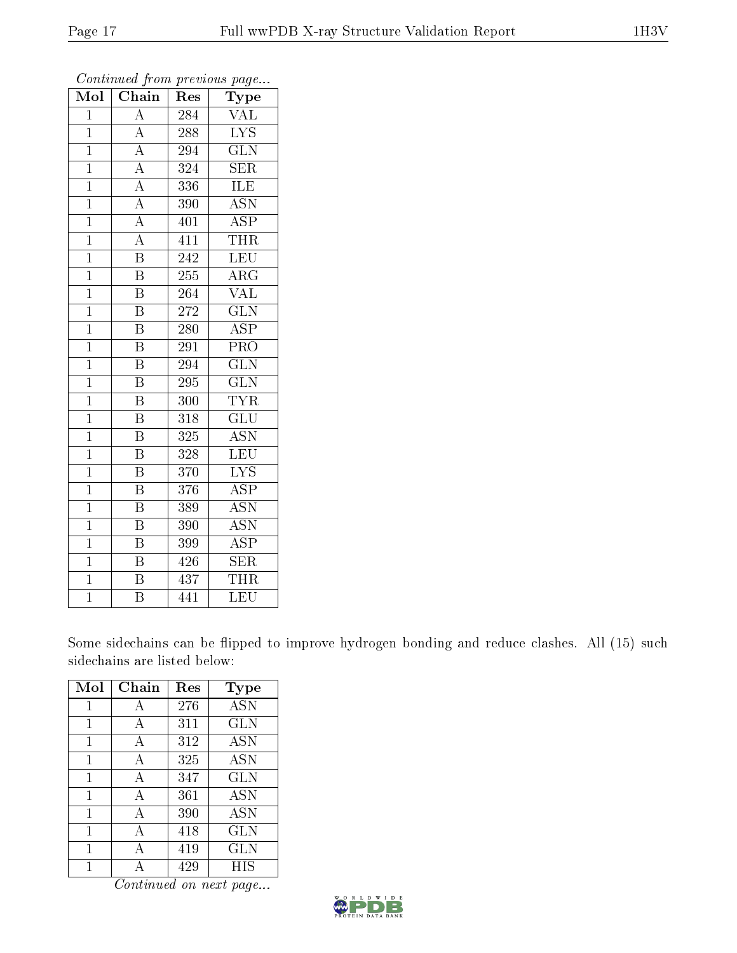| Mol            | Chain                   | $\operatorname{Res}% \left( \mathcal{N}\right) \equiv\operatorname{Res}(\mathcal{N}_{0})\cap\mathcal{N}_{1}$ | Type                      |
|----------------|-------------------------|--------------------------------------------------------------------------------------------------------------|---------------------------|
| $\overline{1}$ | $\overline{\rm A}$      | 284                                                                                                          | $\overline{\text{VAL}}$   |
| $\overline{1}$ | $\overline{A}$          | 288                                                                                                          | $\overline{\text{LYS}}$   |
| $\overline{1}$ | $\overline{A}$          | 294                                                                                                          | $\overline{{\rm GLN}}$    |
| $\mathbf{1}$   | $\overline{A}$          | 324                                                                                                          | <b>SER</b>                |
| $\overline{1}$ | $\overline{A}$          | 336                                                                                                          | ILE                       |
| $\mathbf{1}$   | $\overline{A}$          | 390                                                                                                          | $\overline{\text{ASN}}$   |
| $\overline{1}$ | $\overline{\rm A}$      | 401                                                                                                          | $\overline{\text{ASP}}$   |
| $\overline{1}$ | $\overline{A}$          | 411                                                                                                          | THR                       |
| $\overline{1}$ | $\overline{\mathrm{B}}$ | 242                                                                                                          | $\overline{\text{LEU}}$   |
| $\overline{1}$ | $\overline{\mathrm{B}}$ | 255                                                                                                          | $\rm{ARG}$                |
| $\overline{1}$ | $\overline{\mathrm{B}}$ | 264                                                                                                          | <b>VAL</b>                |
| $\mathbf{1}$   | $\overline{\mathrm{B}}$ | $\overline{272}$                                                                                             | $\overline{\text{GLN}}$   |
| $\mathbf{1}$   | $\overline{\mathrm{B}}$ | 280                                                                                                          | $\overline{ASP}$          |
| $\overline{1}$ | $\overline{\mathrm{B}}$ | 291                                                                                                          | $\overline{\text{PRO}}$   |
| $\overline{1}$ | $\overline{\mathrm{B}}$ | 294                                                                                                          | $\overline{\text{GLN}}$   |
| $\overline{1}$ | $\overline{\text{B}}$   | 295                                                                                                          | $\overline{\text{GLN}}$   |
| $\overline{1}$ | $\overline{\mathrm{B}}$ | 300                                                                                                          | <b>TYR</b>                |
| $\mathbf{1}$   | $\overline{\text{B}}$   | 318                                                                                                          | $\overline{\text{GLU}}$   |
| $\mathbf{1}$   | $\overline{B}$          | 325                                                                                                          | <b>ASN</b>                |
| $\overline{1}$ | $\overline{\mathrm{B}}$ | 328                                                                                                          | <b>LEU</b>                |
| $\overline{1}$ | $\overline{\mathrm{B}}$ | 370                                                                                                          | $\overline{\text{LYS}}$   |
| $\overline{1}$ | $\overline{\mathrm{B}}$ | 376                                                                                                          | $\overline{\text{ASP}}$   |
| $\overline{1}$ | $\overline{\mathrm{B}}$ | 389                                                                                                          | $\overline{\mathrm{ASN}}$ |
| $\overline{1}$ | $\overline{\mathrm{B}}$ | 390                                                                                                          | $\overline{\mathrm{ASN}}$ |
| $\mathbf{1}$   | $\overline{\mathrm{B}}$ | 399                                                                                                          | <b>ASP</b>                |
| $\overline{1}$ | $\overline{\mathrm{B}}$ | 426                                                                                                          | <b>SER</b>                |
| $\overline{1}$ | $\rm \overline{B}$      | 437                                                                                                          | THR                       |
| $\overline{1}$ | $\overline{\mathrm{B}}$ | 441                                                                                                          | LEU                       |

Some sidechains can be flipped to improve hydrogen bonding and reduce clashes. All (15) such sidechains are listed below:

| Mol | Chain | Res | Type              |
|-----|-------|-----|-------------------|
|     | А     | 276 | $\overline{A}$ SN |
| 1   | A     | 311 | <b>GLN</b>        |
| 1   | А     | 312 | <b>ASN</b>        |
| 1   | А     | 325 | <b>ASN</b>        |
| 1   | A     | 347 | <b>GLN</b>        |
| 1   | A     | 361 | <b>ASN</b>        |
| 1   | A     | 390 | <b>ASN</b>        |
| 1   | А     | 418 | GLN               |
| 1   | А     | 419 | GLN               |
|     |       | 429 | HIS               |

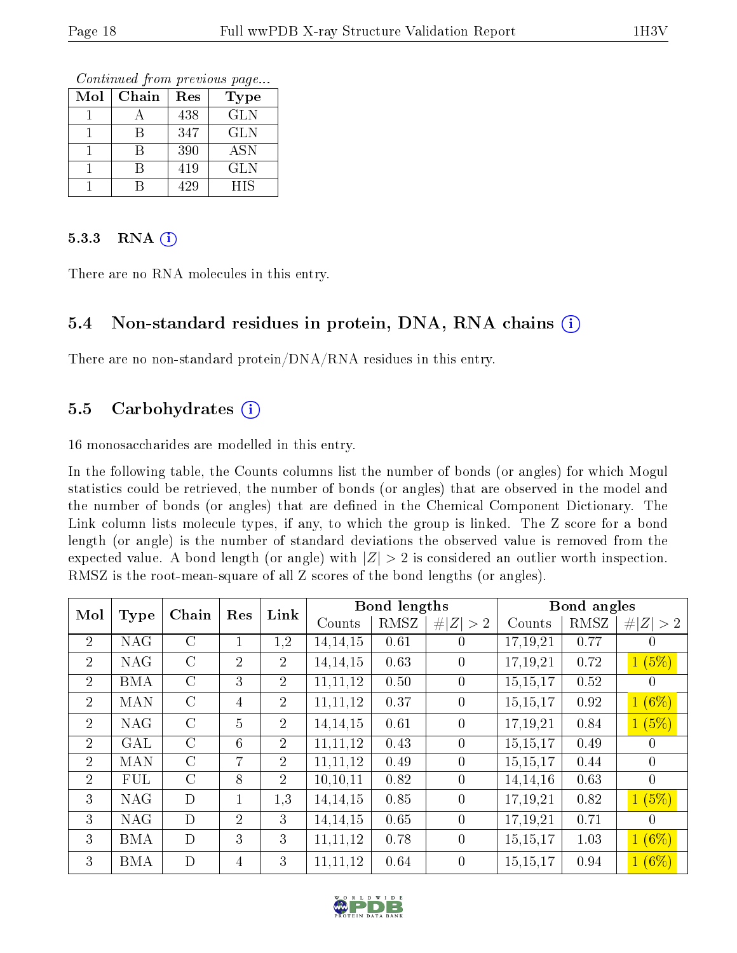Continued from previous page...

| Mol | Chain | Res | Type       |
|-----|-------|-----|------------|
|     |       | 438 | <b>GLN</b> |
|     |       | 347 | <b>GLN</b> |
|     |       | 390 | <b>ASN</b> |
|     |       | 419 | <b>GLN</b> |
|     |       | 429 | HIS        |

#### $5.3.3$  RNA  $(i)$

There are no RNA molecules in this entry.

### 5.4 Non-standard residues in protein, DNA, RNA chains (i)

There are no non-standard protein/DNA/RNA residues in this entry.

### 5.5 Carbohydrates (i)

16 monosaccharides are modelled in this entry.

In the following table, the Counts columns list the number of bonds (or angles) for which Mogul statistics could be retrieved, the number of bonds (or angles) that are observed in the model and the number of bonds (or angles) that are defined in the Chemical Component Dictionary. The Link column lists molecule types, if any, to which the group is linked. The Z score for a bond length (or angle) is the number of standard deviations the observed value is removed from the expected value. A bond length (or angle) with  $|Z| > 2$  is considered an outlier worth inspection. RMSZ is the root-mean-square of all Z scores of the bond lengths (or angles).

| Mol            | Type       | Chain         | Res            | Link           |            | <b>Bond lengths</b> |                |            | Bond angles |                |
|----------------|------------|---------------|----------------|----------------|------------|---------------------|----------------|------------|-------------|----------------|
|                |            |               |                |                | Counts     | <b>RMSZ</b>         | Z  > 2<br>#    | Counts     | RMSZ        | # $ Z  > 2$    |
| $\overline{2}$ | <b>NAG</b> | $\rm C$       |                | 1,2            | 14, 14, 15 | 0.61                | $\theta$       | 17,19,21   | 0.77        | $\theta$       |
| $\overline{2}$ | <b>NAG</b> | $\mathcal{C}$ | $\overline{2}$ | $\overline{2}$ | 14, 14, 15 | 0.63                | $\overline{0}$ | 17,19,21   | 0.72        | 1(5%)          |
| 2              | <b>BMA</b> | $\mathcal{C}$ | 3              | 2 <sup>1</sup> | 11, 11, 12 | 0.50                | $\theta$       | 15,15,17   | 0.52        | $\theta$       |
| 2              | <b>MAN</b> | $\mathcal{C}$ | $\overline{4}$ | $\overline{2}$ | 11, 11, 12 | 0.37                | $\theta$       | 15,15,17   | 0.92        | $1(6\%)$       |
| 2              | <b>NAG</b> | $\mathcal{C}$ | $\overline{5}$ | $\overline{2}$ | 14, 14, 15 | 0.61                | $\theta$       | 17,19,21   | 0.84        | 1(5%)          |
| 2              | GAL        | $\rm C$       | 6              | 2              | 11,11,12   | 0.43                | $\theta$       | 15,15,17   | 0.49        | $\theta$       |
| $\overline{2}$ | <b>MAN</b> | $\rm C$       | $\overline{7}$ | $\overline{2}$ | 11,11,12   | 0.49                | $\theta$       | 15,15,17   | 0.44        | $\overline{0}$ |
| $\overline{2}$ | <b>FUL</b> | $\rm C$       | 8              | $\overline{2}$ | 10,10,11   | 0.82                | $\theta$       | 14, 14, 16 | 0.63        | $\overline{0}$ |
| 3              | <b>NAG</b> | D             | $\mathbf{1}$   | 1,3            | 14, 14, 15 | 0.85                | $\theta$       | 17,19,21   | 0.82        | 1(5%)          |
| 3              | <b>NAG</b> | D             | $\overline{2}$ | 3              | 14, 14, 15 | 0.65                | $\theta$       | 17,19,21   | 0.71        | $\theta$       |
| 3              | <b>BMA</b> | D             | 3              | 3              | 11,11,12   | 0.78                | $\theta$       | 15,15,17   | 1.03        | $1(6\%)$       |
| 3              | <b>BMA</b> | D             | $\overline{4}$ | 3              | 11, 11, 12 | 0.64                | $\theta$       | 15,15,17   | 0.94        | $1(6\%)$       |

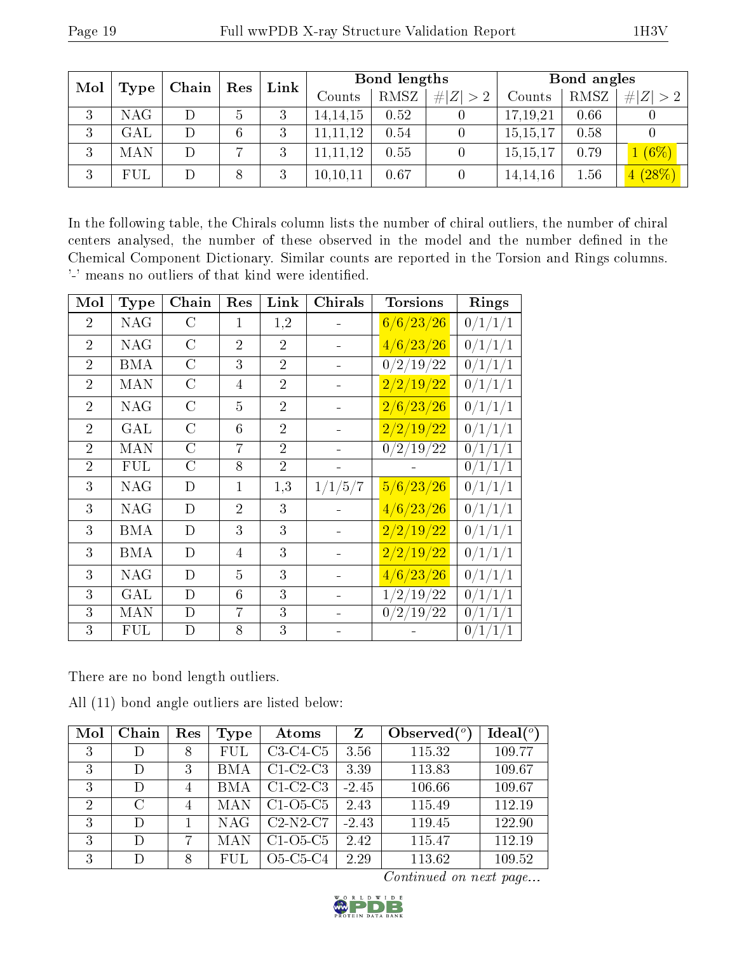|    | Mol<br>Chain<br>Type |  | Link<br>$\operatorname{Res}$ |   | Bond lengths   |      |            | Bond angles |      |             |
|----|----------------------|--|------------------------------|---|----------------|------|------------|-------------|------|-------------|
|    |                      |  |                              |   | Counts         | RMSZ | # Z <br>>2 | Counts      | RMSZ | # $ Z  > 2$ |
| -3 | NAG                  |  | ১                            |   | 14, 14, 15     | 0.52 |            | 17, 19, 21  | 0.66 |             |
| 3  | GAL                  |  | 6                            | 3 | , 11, 12<br>11 | 0.54 |            | 15,15,17    | 0.58 |             |
| 3  | MAN                  |  |                              | 3 | 11, 11, 12     | 0.55 |            | 15,15,17    | 0.79 | (6%)        |
| 3  | FUL                  |  | 8                            |   | 10, 10, 11     | 0.67 |            | 14, 14, 16  | 1.56 | 4(28%)      |

In the following table, the Chirals column lists the number of chiral outliers, the number of chiral centers analysed, the number of these observed in the model and the number defined in the Chemical Component Dictionary. Similar counts are reported in the Torsion and Rings columns. '-' means no outliers of that kind were identified.

| Mol            | Type       | Chain          | Res            | Link           | Chirals | <b>Torsions</b> | Rings                  |
|----------------|------------|----------------|----------------|----------------|---------|-----------------|------------------------|
| $\overline{2}$ | <b>NAG</b> | С              | 1              | 1,2            |         | 6/6/23/26       | 0/1/1/1                |
| $\overline{2}$ | <b>NAG</b> | $\overline{C}$ | $\overline{2}$ | $\overline{2}$ |         | 4/6/23/26       | 0/1/1/1                |
| $\overline{2}$ | <b>BMA</b> | $\mathcal{C}$  | 3              | $\overline{2}$ |         | 0/2/19/22       | 0/1/1/1                |
| $\overline{2}$ | MAN        | С              | 4              | $\overline{2}$ |         | 2/2/19/22       | 0/1/1/1                |
| $\overline{2}$ | <b>NAG</b> | $\overline{C}$ | 5              | $\overline{2}$ |         | 2/6/23/26       | 0/1/1/1                |
| $\overline{2}$ | GAL        | $\rm C$        | 6              | $\overline{2}$ |         | 2/2/19/22       | 0/1/1/1                |
| $\overline{2}$ | MAN        | $\overline{C}$ | 7              | $\overline{2}$ |         | 0/2/19/22       | 0/1/1/1                |
| $\overline{2}$ | FUL        | $\mathcal C$   | 8              | $\overline{2}$ |         |                 | 0/1/1/1                |
| 3              | <b>NAG</b> | D              | $\mathbf{1}$   | 1,3            | 1/1/5/7 | 5/6/23/26       | 0/1/1/1                |
| 3              | <b>NAG</b> | D              | $\overline{2}$ | 3              |         | 4/6/23/26       | 0/1/1/1                |
| 3              | BMA        | D              | 3              | 3              |         | 2/2/19/22       | 0/1/1/1                |
| 3              | BMA        | D              | 4              | 3              |         | 2/2/19/22       | 0/1/1/1                |
| 3              | <b>NAG</b> | D              | $\overline{5}$ | 3              |         | 4/6/23/26       | 0/1/1/1                |
| 3              | GAL        | D              | 6              | 3              |         | 1/2/19/22       | 0/1/1/1                |
| 3              | MAN        | D              | 7              | 3              |         | 0/2/19/22       | 0/1/1/1                |
| 3              | FUL        | D              | 8              | 3              |         |                 | $^{\prime}1/1$<br>0/1/ |

There are no bond length outliers.

All (11) bond angle outliers are listed below:

| Mol           | Chain    | Res | Type       | Atoms      | Z       | Observed $(°)$ | Ideal $(°)$ |
|---------------|----------|-----|------------|------------|---------|----------------|-------------|
| 3             | D)       | 8   | <b>FUL</b> | $C3-C4-C5$ | 3.56    | 115.32         | 109.77      |
| 3             | D        | 3   | BMA        | $C1-C2-C3$ | 3.39    | 113.83         | 109.67      |
| 3             | D        | 4   | <b>BMA</b> | $C1-C2-C3$ | $-2.45$ | 106.66         | 109.67      |
| $\mathcal{P}$ | $\Gamma$ | 4   | MAN        | $C1-O5-C5$ | 2.43    | 115.49         | 112.19      |
| 3             | D        |     | <b>NAG</b> | $C2-N2-C7$ | $-2.43$ | 119.45         | 122.90      |
| 3             | D        |     | MAN        | $C1-O5-C5$ | 2.42    | 115.47         | 112.19      |
| 3             | D        | 8   | FUL.       | O5-C5-C4   | 2.29    | 113.62         | 109.52      |

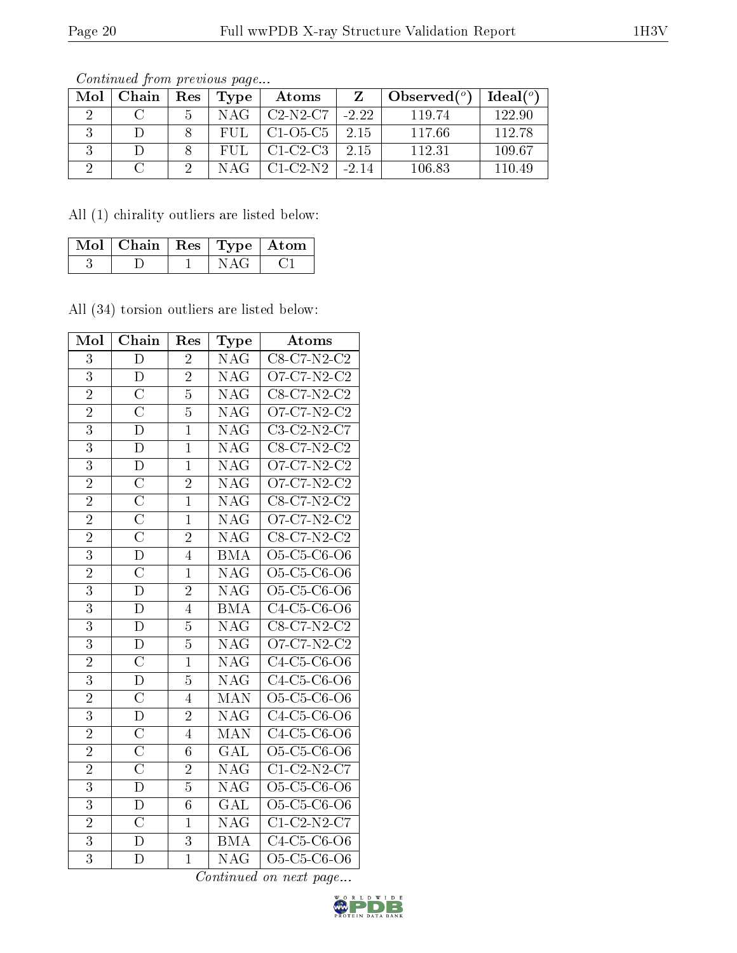| Mol | Chain | Res | Type  | Atoms                         |            | Observed $(°)$ | Ideal $(°)$ |
|-----|-------|-----|-------|-------------------------------|------------|----------------|-------------|
|     |       |     | NAG   | $C2-N2-C7$ -2.22              |            | 119.74         | 122.90      |
|     |       |     | FUL - | $\vert$ C1-O5-C5 $\vert$ 2.15 |            | 117.66         | 112.78      |
|     |       |     | FUL.  | $C1-C2-C3$   2.15             |            | 112.31         | 109.67      |
|     |       | റ   | NAG   | $C1-C2-N2$                    | $1 - 2.14$ | 106.83         | 110.49      |

All (1) chirality outliers are listed below:

| Mol   Chain   Res   Type   Atom |  |  |
|---------------------------------|--|--|
|                                 |  |  |

All (34) torsion outliers are listed below:

| Mol            | Chain                 | $\operatorname{Res}% \left( \mathcal{N}\right) \equiv\operatorname{Res}(\mathcal{N}_{0})\cap\mathcal{N}_{1}$ | Type                    | Atoms                                                          |
|----------------|-----------------------|--------------------------------------------------------------------------------------------------------------|-------------------------|----------------------------------------------------------------|
| $\overline{3}$ | $\overline{\rm D}$    | $\overline{2}$                                                                                               | $\overline{\text{NAG}}$ | $C8-C7-N2-C2$                                                  |
| 3              | $\overline{D}$        | $\overline{2}$                                                                                               | <b>NAG</b>              | O7-C7-N2-C2                                                    |
| $\overline{2}$ | $\overline{\rm C}$    | $\overline{5}$                                                                                               | $\overline{\text{NAG}}$ | $C8-C7-N2-C2$                                                  |
| $\overline{2}$ | $\overline{\rm C}$    | $\overline{5}$                                                                                               | $\overline{\text{NAG}}$ | $\overline{O7-C7}$ -N2-C2                                      |
| $\overline{3}$ | $\bar{\rm D}$         | $\overline{1}$                                                                                               | <b>NAG</b>              | $C3-C2-N2-C7$                                                  |
| $\overline{3}$ | $\overline{D}$        | $\mathbf{1}$                                                                                                 | $\overline{\text{NAG}}$ | $\overline{\text{C8-C7}}$ -N2-C2                               |
| 3              | D                     | $\overline{1}$                                                                                               | NAG                     | O7-C7-N2-C2                                                    |
| $\overline{2}$ | $\overline{\rm C}$    | $\overline{2}$                                                                                               | $\overline{\text{NAG}}$ | O7-C7-N2-C2                                                    |
| $\overline{2}$ | $\overline{\rm C}$    | $\overline{1}$                                                                                               | <b>NAG</b>              | $C8-C7-N2-C2$                                                  |
| $\overline{2}$ | $\overline{\rm C}$    | $\overline{1}$                                                                                               | <b>NAG</b>              | $\overline{\text{O7}}$ -C7-N2-C2                               |
| $\overline{2}$ | $\overline{\rm C}$    | $\overline{2}$                                                                                               | $\overline{\text{NAG}}$ | $C8-C7-N2-C2$                                                  |
| $\overline{3}$ | D                     | $\overline{4}$                                                                                               | <b>BMA</b>              | O5-C5-C6-O6                                                    |
| $\overline{2}$ | $\overline{\rm C}$    | $\overline{1}$                                                                                               | <b>NAG</b>              | O5-C5-C6-O6                                                    |
| 3              | D                     | $\overline{2}$                                                                                               | <b>NAG</b>              | O5-C5-C6-O6                                                    |
| 3              | D                     | $\overline{4}$                                                                                               | <b>BMA</b>              | C4-C5-C6-O6                                                    |
| $\overline{3}$ | D                     | $\overline{5}$                                                                                               | <b>NAG</b>              | $C8-C7-N2-C2$                                                  |
| $\overline{3}$ | D                     | $\overline{5}$                                                                                               | <b>NAG</b>              | $O7-C7-N2-C2$                                                  |
| $\overline{2}$ | $\overline{\text{C}}$ | $\overline{1}$                                                                                               | $\overline{\text{NAG}}$ | C4-C5-C6-O6                                                    |
| $\overline{3}$ | D                     | $\overline{5}$                                                                                               | <b>NAG</b>              | C4-C5-C6-O6                                                    |
| $\overline{2}$ | $\overline{\rm C}$    | $\overline{4}$                                                                                               | MAN                     | O5-C5-C6-O6                                                    |
| $\overline{3}$ | D                     | $\overline{2}$                                                                                               | NAG                     | C4-C5-C6-O6                                                    |
| $\overline{2}$ | $\overline{\rm C}$    | $\overline{4}$                                                                                               | $\rm\overline{MAN}$     | C <sub>4</sub> -C <sub>5</sub> -C <sub>6</sub> -O <sub>6</sub> |
| $\overline{2}$ | $\overline{\rm C}$    | $\overline{6}$                                                                                               | $\overline{\text{GAL}}$ | O5-C5-C6-O6                                                    |
| $\overline{2}$ | $\overline{\text{C}}$ | $\overline{2}$                                                                                               | $\overline{\text{NAG}}$ | $C1-C2-N2-C7$                                                  |
| $\overline{3}$ | $\overline{\rm D}$    | $\overline{5}$                                                                                               | $\overline{\text{NAG}}$ | O5-C5-C6-O6                                                    |
| $\overline{3}$ | $\overline{\rm D}$    | $\overline{6}$                                                                                               | $\overline{\text{GAL}}$ | O5-C5-C6-O6                                                    |
| $\overline{2}$ | $\overline{\text{C}}$ | $\mathbf{1}$                                                                                                 | <b>NAG</b>              | $C1-C2-N2-C7$                                                  |
| $\overline{3}$ | $\overline{\rm D}$    | $\overline{3}$                                                                                               | <b>BMA</b>              | C4-C5-C6-O6                                                    |
| $\overline{3}$ | D                     | $\overline{1}$                                                                                               | $\rm NAG$               | O5-C5-C6-O6                                                    |

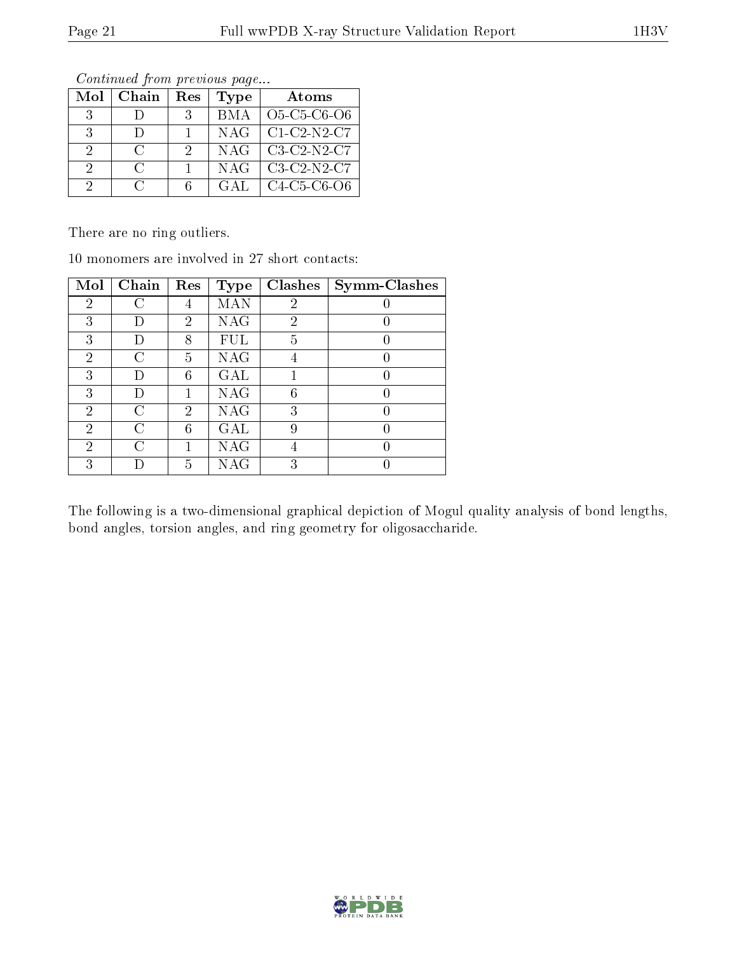| contentation provided as page. |               |     |      |                                                                |  |  |  |
|--------------------------------|---------------|-----|------|----------------------------------------------------------------|--|--|--|
| Mol                            | Chain         | Res | Type | Atoms                                                          |  |  |  |
| $\mathbf{R}$                   |               | -2  | BMA. | O <sub>5</sub> -C <sub>5</sub> -C <sub>6</sub> -O <sub>6</sub> |  |  |  |
| $\mathcal{R}$                  | Ð             |     | NAG  | $C1-C2-N2-C7$                                                  |  |  |  |
| $\mathcal{D}$                  | $\mathcal{L}$ | 9.  | NAG  | $C3-C2-N2-C7$                                                  |  |  |  |
| $\Omega$                       | $\mathcal{C}$ |     | NAG  | $C3-C2-N2-C7$                                                  |  |  |  |
| 9                              | $\mathcal{C}$ | 6   | GAT  | $C4$ - $C5$ - $C6$ - $O6$                                      |  |  |  |

There are no ring outliers.

10 monomers are involved in 27 short contacts:

| Mol            | Chain         | Res            | <b>Type</b> | Clashes        | <b>Symm-Clashes</b> |
|----------------|---------------|----------------|-------------|----------------|---------------------|
| $\overline{2}$ |               | 4              | MAN         | $\overline{2}$ |                     |
| 3              | $\Box$        | 2              | <b>NAG</b>  | 2              |                     |
| 3              |               | 8              | FUL         | 5              |                     |
| 2              | €             | 5              | <b>NAG</b>  |                |                     |
| 3              | $\Box$        | 6              | GAL         |                |                     |
| 3              | $\Box$        |                | <b>NAG</b>  | 6              |                     |
| $\overline{2}$ | $\mathcal{C}$ | $\overline{2}$ | <b>NAG</b>  | 3              |                     |
| $\overline{2}$ | C             | 6              | GAL         | 9              |                     |
| $\overline{2}$ | C             |                | <b>NAG</b>  |                |                     |
| 3              |               | 5              | NAG         | 3              |                     |

The following is a two-dimensional graphical depiction of Mogul quality analysis of bond lengths, bond angles, torsion angles, and ring geometry for oligosaccharide.

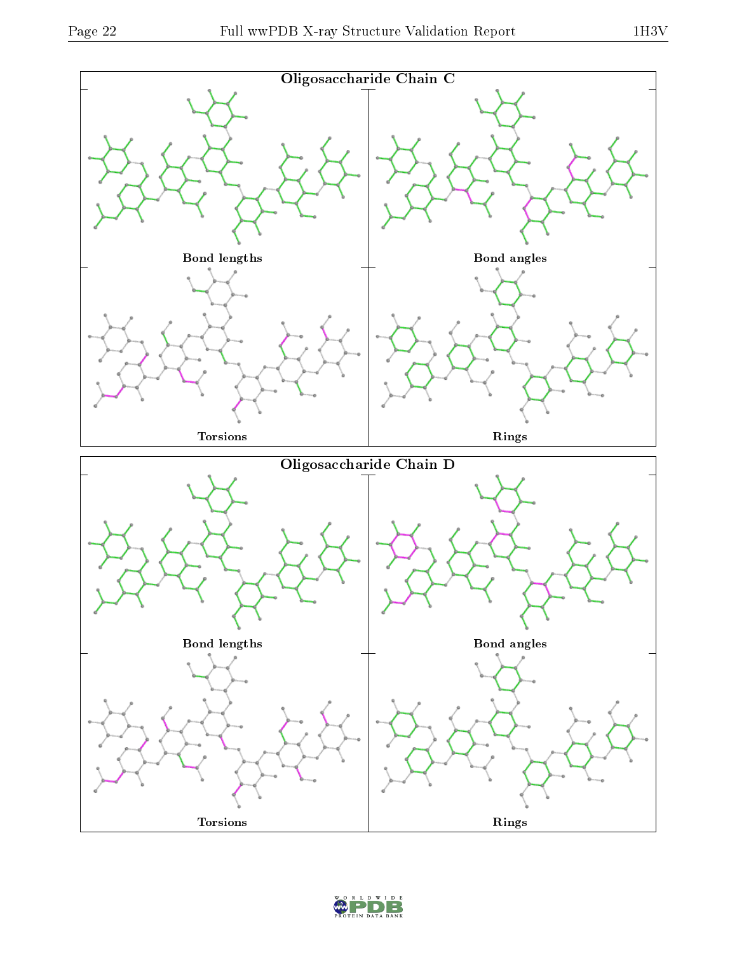

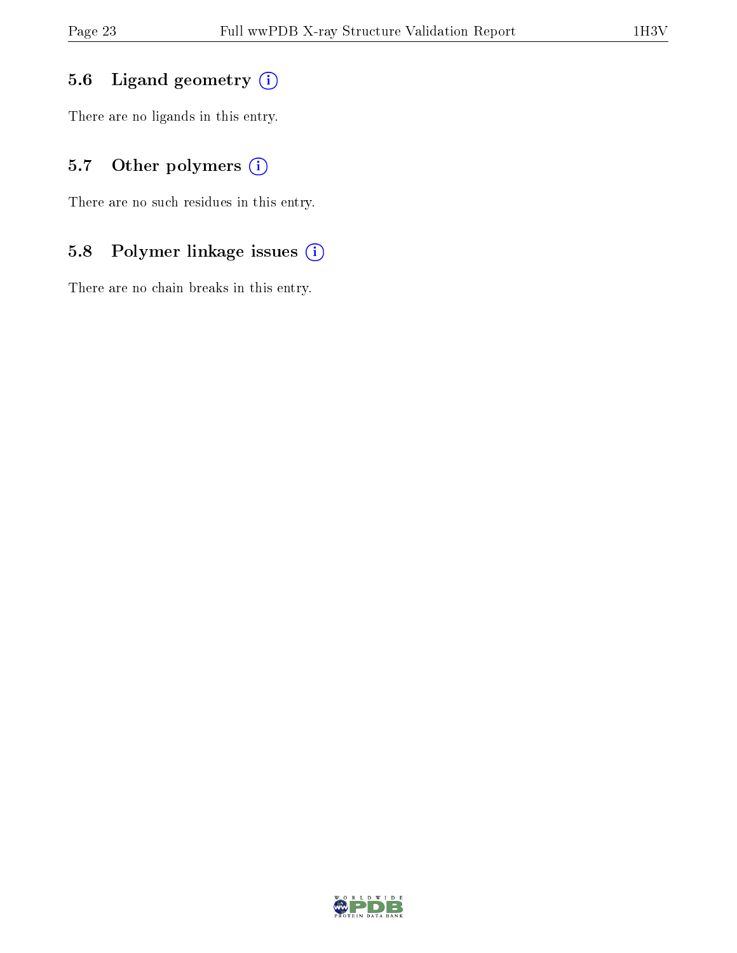### 5.6 Ligand geometry (i)

There are no ligands in this entry.

### 5.7 [O](https://www.wwpdb.org/validation/2017/XrayValidationReportHelp#nonstandard_residues_and_ligands)ther polymers (i)

There are no such residues in this entry.

### 5.8 Polymer linkage issues (i)

There are no chain breaks in this entry.

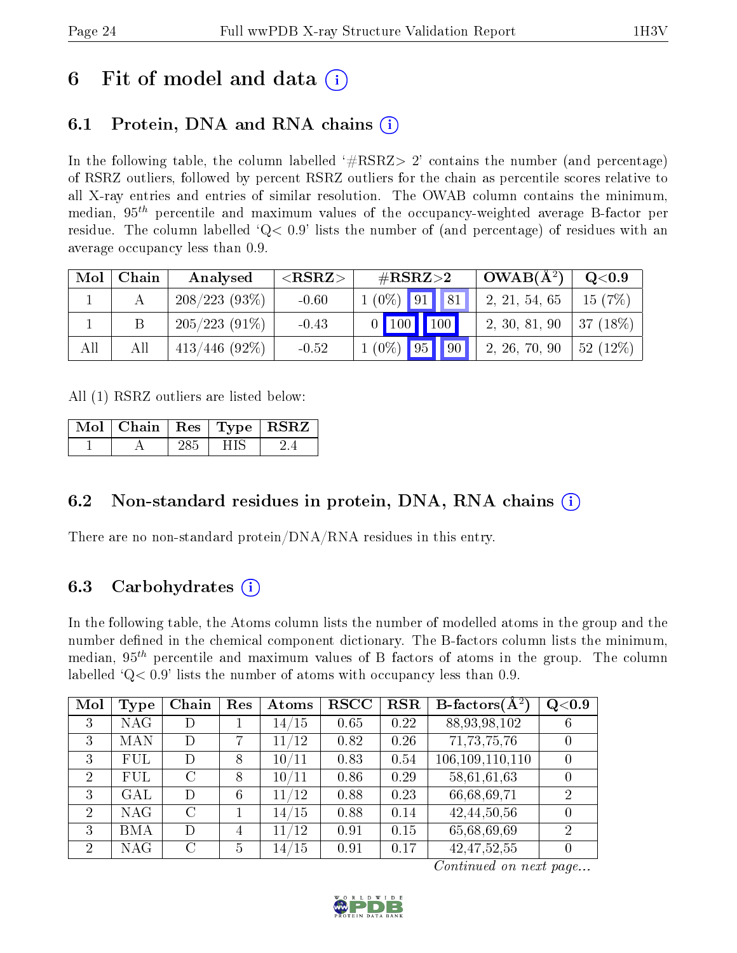# 6 Fit of model and data  $\left( \cdot \right)$

# 6.1 Protein, DNA and RNA chains (i)

In the following table, the column labelled  $#RSRZ>2'$  contains the number (and percentage) of RSRZ outliers, followed by percent RSRZ outliers for the chain as percentile scores relative to all X-ray entries and entries of similar resolution. The OWAB column contains the minimum, median,  $95<sup>th</sup>$  percentile and maximum values of the occupancy-weighted average B-factor per residue. The column labelled  $Q< 0.9$  lists the number of (and percentage) of residues with an average occupancy less than 0.9.

| Mol | Chain | Analysed         | ${ <\hspace{-1.5pt}{\mathrm{RSRZ}} \hspace{-1.5pt}>}$ | $\#\text{RSRZ}{>}2$           | $+$ OWAB( $A^2$ ) | $\mathrm{Q}{<}0.9$ |
|-----|-------|------------------|-------------------------------------------------------|-------------------------------|-------------------|--------------------|
|     |       | $208/223(93\%)$  | $-0.60$                                               | $1(0\%)$ 91 81                | 2, 21, 54, 65     | 15(7%)             |
|     |       | $205/223(91\%)$  | $-0.43$                                               | $0$ 100 100                   | 2, 30, 81, 90     | $37(18\%)$         |
| All | All   | $413/446$ (92\%) | $-0.52$                                               | $\parallel$ 90<br>$1(0\%)$ 95 | 2, 26, 70, 90     | $52(12\%)$         |

All (1) RSRZ outliers are listed below:

| Mol   Chain   Res   Type   $\operatorname{RSRZ}$ |      |  |
|--------------------------------------------------|------|--|
|                                                  | HIS. |  |

## 6.2 Non-standard residues in protein, DNA, RNA chains (i)

There are no non-standard protein/DNA/RNA residues in this entry.

### 6.3 Carbohydrates (i)

In the following table, the Atoms column lists the number of modelled atoms in the group and the number defined in the chemical component dictionary. The B-factors column lists the minimum, median,  $95<sup>th</sup>$  percentile and maximum values of B factors of atoms in the group. The column labelled  $Q< 0.9$ ' lists the number of atoms with occupancy less than 0.9.

| Mol            | Type       | Chain         | Res | Atoms | <b>RSCC</b> | <b>RSR</b> | B-factors $(\overline{A^2})$ | Q<0.9            |
|----------------|------------|---------------|-----|-------|-------------|------------|------------------------------|------------------|
| 3              | <b>NAG</b> | D             |     | 14/15 | 0.65        | 0.22       | 88,93,98,102                 | 6                |
| 3              | <b>MAN</b> | D             | 7   | 11/12 | 0.82        | 0.26       | 71, 73, 75, 76               | $\overline{0}$   |
| 3              | FUL        | D             | 8   | 10/11 | 0.83        | 0.54       | 106, 109, 110, 110           |                  |
| $\overline{2}$ | <b>FUL</b> | $\rm C$       | 8   | 10/11 | 0.86        | 0.29       | 58,61,61,63                  | $\left( \right)$ |
| 3              | GAL        | D             | 6   | 11/12 | 0.88        | 0.23       | 66,68,69,71                  | $\overline{2}$   |
| $\overline{2}$ | <b>NAG</b> | $\mathcal{C}$ |     | 14/15 | 0.88        | 0.14       | 42,44,50,56                  | $\overline{0}$   |
| 3              | <b>BMA</b> | D             | 4   | 11/12 | 0.91        | 0.15       | 65,68,69,69                  | $\overline{2}$   |
| $\overline{2}$ | <b>NAG</b> | $\mathcal{C}$ | 5   | 14/15 | 0.91        | 0.17       | 42, 47, 52, 55               | $\left( \right)$ |

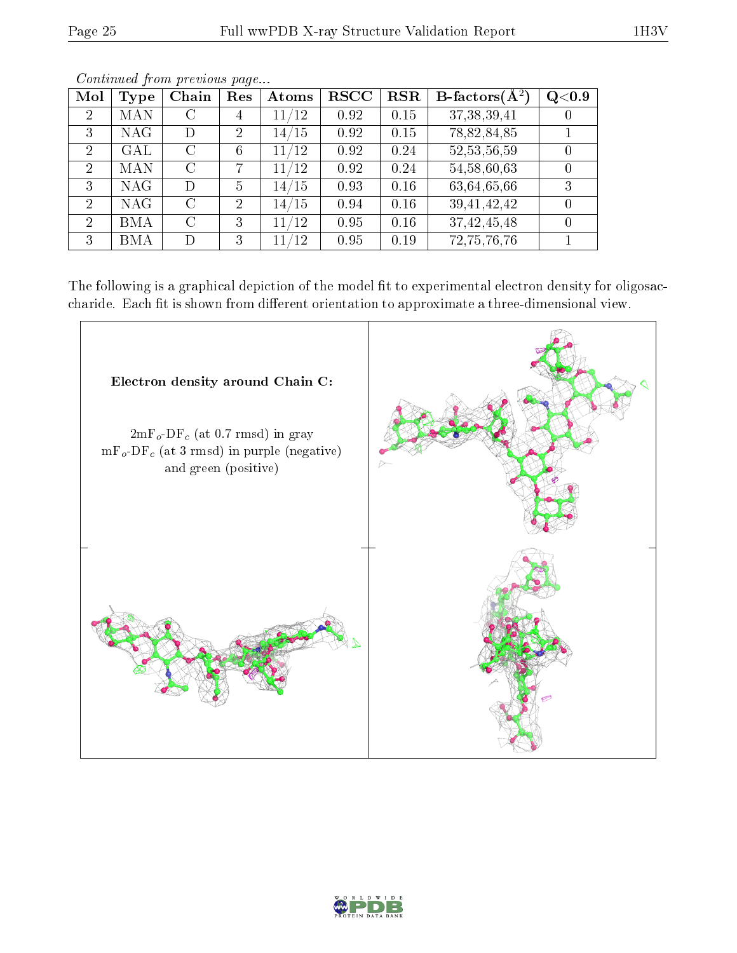| Mol            | Type       | Chain          | Res            | Atoms | <b>RSCC</b> | <b>RSR</b> | <b>B</b> -factors $\overline{A^2}$ | Q <sub>0.9</sub> |
|----------------|------------|----------------|----------------|-------|-------------|------------|------------------------------------|------------------|
| $\overline{2}$ | <b>MAN</b> | С              | 4              | 11/12 | 0.92        | 0.15       | 37, 38, 39, 41                     | 0                |
| 3              | <b>NAG</b> | D              | $\overline{2}$ | 14/15 | 0.92        | 0.15       | 78,82,84,85                        |                  |
| $\overline{2}$ | GAL        | $\overline{C}$ | 6              | 11/12 | 0.92        | 0.24       | 52, 53, 56, 59                     | 0                |
| $\overline{2}$ | MAN        | С              | 7              | 11/12 | 0.92        | 0.24       | 54, 58, 60, 63                     | 0                |
| 3              | <b>NAG</b> | D              | 5              | 14/15 | 0.93        | 0.16       | 63,64,65,66                        | 3                |
| $\overline{2}$ | <b>NAG</b> | C              | $\overline{2}$ | 14/15 | 0.94        | 0.16       | 39,41,42,42                        | 0                |
| $\overline{2}$ | <b>BMA</b> | С              | 3              | 11/12 | 0.95        | 0.16       | 37,42,45,48                        | 0                |
| 3              | <b>BMA</b> |                | 3              | /12   | 0.95        | 0.19       | 72, 75, 76, 76                     |                  |

The following is a graphical depiction of the model fit to experimental electron density for oligosaccharide. Each fit is shown from different orientation to approximate a three-dimensional view.